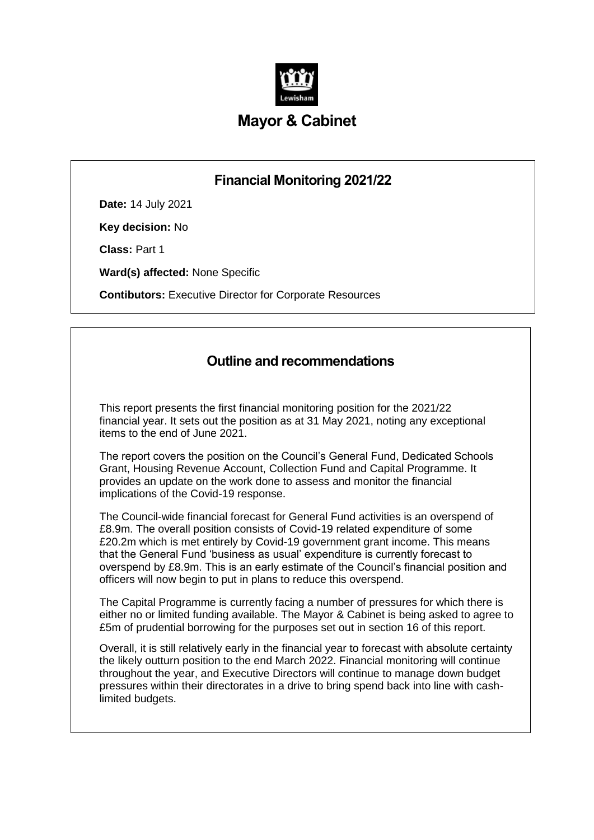

# **Mayor & Cabinet**

# **Financial Monitoring 2021/22**

**Date:** 14 July 2021

**Key decision:** No

**Class:** Part 1

**Ward(s) affected:** None Specific

**Contibutors:** Executive Director for Corporate Resources

# **Outline and recommendations**

This report presents the first financial monitoring position for the 2021/22 financial year. It sets out the position as at 31 May 2021, noting any exceptional items to the end of June 2021.

The report covers the position on the Council's General Fund, Dedicated Schools Grant, Housing Revenue Account, Collection Fund and Capital Programme. It provides an update on the work done to assess and monitor the financial implications of the Covid-19 response.

The Council-wide financial forecast for General Fund activities is an overspend of £8.9m. The overall position consists of Covid-19 related expenditure of some £20.2m which is met entirely by Covid-19 government grant income. This means that the General Fund 'business as usual' expenditure is currently forecast to overspend by £8.9m. This is an early estimate of the Council's financial position and officers will now begin to put in plans to reduce this overspend.

The Capital Programme is currently facing a number of pressures for which there is either no or limited funding available. The Mayor & Cabinet is being asked to agree to £5m of prudential borrowing for the purposes set out in section 16 of this report.

Overall, it is still relatively early in the financial year to forecast with absolute certainty the likely outturn position to the end March 2022. Financial monitoring will continue throughout the year, and Executive Directors will continue to manage down budget pressures within their directorates in a drive to bring spend back into line with cashlimited budgets.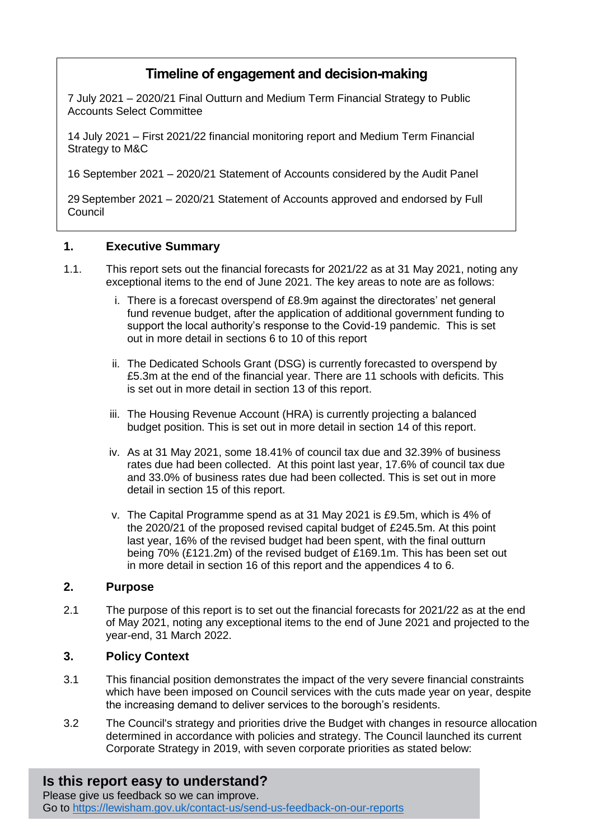# **Timeline of engagement and decision-making**

7 July 2021 – 2020/21 Final Outturn and Medium Term Financial Strategy to Public Accounts Select Committee

14 July 2021 – First 2021/22 financial monitoring report and Medium Term Financial Strategy to M&C

16 September 2021 – 2020/21 Statement of Accounts considered by the Audit Panel

29 September 2021 – 2020/21 Statement of Accounts approved and endorsed by Full Council

#### **1. Executive Summary**

- 1.1. This report sets out the financial forecasts for 2021/22 as at 31 May 2021, noting any exceptional items to the end of June 2021. The key areas to note are as follows:
	- i. There is a forecast overspend of £8.9m against the directorates' net general fund revenue budget, after the application of additional government funding to support the local authority's response to the Covid-19 pandemic. This is set out in more detail in sections 6 to 10 of this report
	- ii. The Dedicated Schools Grant (DSG) is currently forecasted to overspend by £5.3m at the end of the financial year. There are 11 schools with deficits. This is set out in more detail in section 13 of this report.
	- iii. The Housing Revenue Account (HRA) is currently projecting a balanced budget position. This is set out in more detail in section 14 of this report.
	- iv. As at 31 May 2021, some 18.41% of council tax due and 32.39% of business rates due had been collected. At this point last year, 17.6% of council tax due and 33.0% of business rates due had been collected. This is set out in more detail in section 15 of this report.
	- v. The Capital Programme spend as at 31 May 2021 is £9.5m, which is 4% of the 2020/21 of the proposed revised capital budget of £245.5m. At this point last year, 16% of the revised budget had been spent, with the final outturn being 70% (£121.2m) of the revised budget of £169.1m. This has been set out in more detail in section 16 of this report and the appendices 4 to 6.

#### **2. Purpose**

2.1 The purpose of this report is to set out the financial forecasts for 2021/22 as at the end of May 2021, noting any exceptional items to the end of June 2021 and projected to the year-end, 31 March 2022.

#### **3. Policy Context**

- 3.1 This financial position demonstrates the impact of the very severe financial constraints which have been imposed on Council services with the cuts made year on year, despite the increasing demand to deliver services to the borough's residents.
- 3.2 The Council's strategy and priorities drive the Budget with changes in resource allocation determined in accordance with policies and strategy. The Council launched its current Corporate Strategy in 2019, with seven corporate priorities as stated below:

# **Is this report easy to understand?**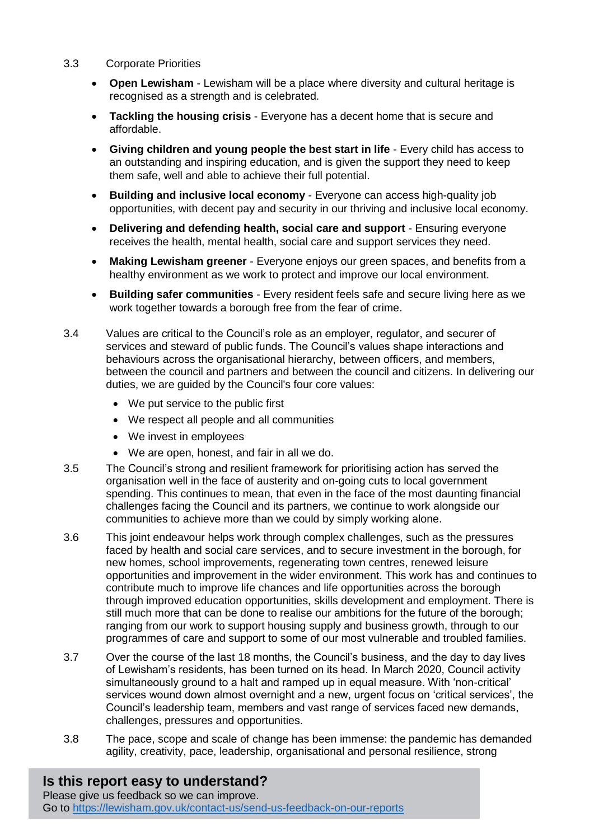- 3.3 Corporate Priorities
	- **Open Lewisham**  Lewisham will be a place where diversity and cultural heritage is recognised as a strength and is celebrated.
	- **Tackling the housing crisis**  Everyone has a decent home that is secure and affordable.
	- **Giving children and young people the best start in life**  Every child has access to an outstanding and inspiring education, and is given the support they need to keep them safe, well and able to achieve their full potential.
	- **Building and inclusive local economy**  Everyone can access high-quality job opportunities, with decent pay and security in our thriving and inclusive local economy.
	- **Delivering and defending health, social care and support**  Ensuring everyone receives the health, mental health, social care and support services they need.
	- **Making Lewisham greener**  Everyone enjoys our green spaces, and benefits from a healthy environment as we work to protect and improve our local environment.
	- **Building safer communities**  Every resident feels safe and secure living here as we work together towards a borough free from the fear of crime.
- 3.4 Values are critical to the Council's role as an employer, regulator, and securer of services and steward of public funds. The Council's values shape interactions and behaviours across the organisational hierarchy, between officers, and members, between the council and partners and between the council and citizens. In delivering our duties, we are guided by the Council's four core values:
	- We put service to the public first
	- We respect all people and all communities
	- We invest in employees
	- We are open, honest, and fair in all we do.
- 3.5 The Council's strong and resilient framework for prioritising action has served the organisation well in the face of austerity and on-going cuts to local government spending. This continues to mean, that even in the face of the most daunting financial challenges facing the Council and its partners, we continue to work alongside our communities to achieve more than we could by simply working alone.
- 3.6 This joint endeavour helps work through complex challenges, such as the pressures faced by health and social care services, and to secure investment in the borough, for new homes, school improvements, regenerating town centres, renewed leisure opportunities and improvement in the wider environment. This work has and continues to contribute much to improve life chances and life opportunities across the borough through improved education opportunities, skills development and employment. There is still much more that can be done to realise our ambitions for the future of the borough; ranging from our work to support housing supply and business growth, through to our programmes of care and support to some of our most vulnerable and troubled families.
- 3.7 Over the course of the last 18 months, the Council's business, and the day to day lives of Lewisham's residents, has been turned on its head. In March 2020, Council activity simultaneously ground to a halt and ramped up in equal measure. With 'non-critical' services wound down almost overnight and a new, urgent focus on 'critical services', the Council's leadership team, members and vast range of services faced new demands, challenges, pressures and opportunities.
- 3.8 The pace, scope and scale of change has been immense: the pandemic has demanded agility, creativity, pace, leadership, organisational and personal resilience, strong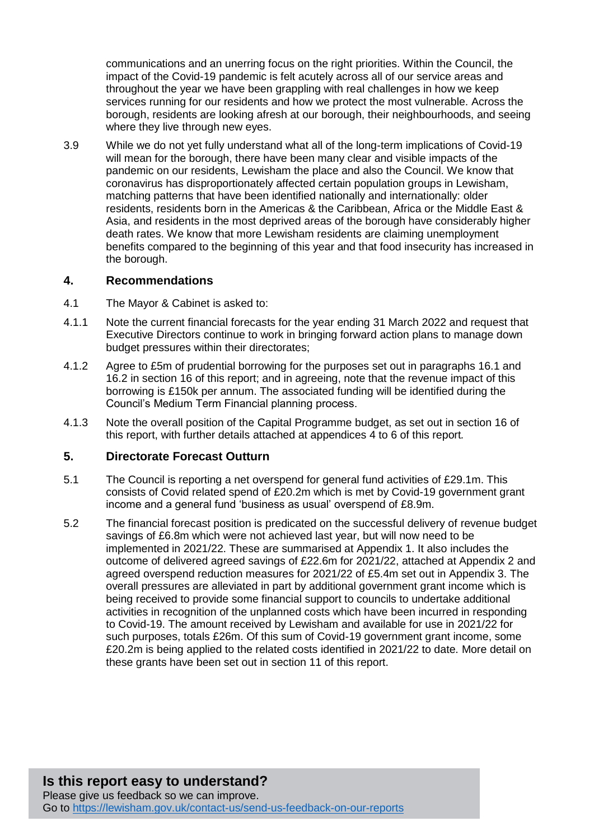communications and an unerring focus on the right priorities. Within the Council, the impact of the Covid-19 pandemic is felt acutely across all of our service areas and throughout the year we have been grappling with real challenges in how we keep services running for our residents and how we protect the most vulnerable. Across the borough, residents are looking afresh at our borough, their neighbourhoods, and seeing where they live through new eyes.

3.9 While we do not yet fully understand what all of the long-term implications of Covid-19 will mean for the borough, there have been many clear and visible impacts of the pandemic on our residents, Lewisham the place and also the Council. We know that coronavirus has disproportionately affected certain population groups in Lewisham, matching patterns that have been identified nationally and internationally: older residents, residents born in the Americas & the Caribbean, Africa or the Middle East & Asia, and residents in the most deprived areas of the borough have considerably higher death rates. We know that more Lewisham residents are claiming unemployment benefits compared to the beginning of this year and that food insecurity has increased in the borough.

#### **4. Recommendations**

- 4.1 The Mayor & Cabinet is asked to:
- 4.1.1 Note the current financial forecasts for the year ending 31 March 2022 and request that Executive Directors continue to work in bringing forward action plans to manage down budget pressures within their directorates;
- 4.1.2 Agree to £5m of prudential borrowing for the purposes set out in paragraphs 16.1 and 16.2 in section 16 of this report; and in agreeing, note that the revenue impact of this borrowing is £150k per annum. The associated funding will be identified during the Council's Medium Term Financial planning process.
- 4.1.3 Note the overall position of the Capital Programme budget, as set out in section 16 of this report, with further details attached at appendices 4 to 6 of this report*.*

#### **5. Directorate Forecast Outturn**

- 5.1 The Council is reporting a net overspend for general fund activities of £29.1m. This consists of Covid related spend of £20.2m which is met by Covid-19 government grant income and a general fund 'business as usual' overspend of £8.9m.
- 5.2 The financial forecast position is predicated on the successful delivery of revenue budget savings of £6.8m which were not achieved last year, but will now need to be implemented in 2021/22. These are summarised at Appendix 1. It also includes the outcome of delivered agreed savings of £22.6m for 2021/22, attached at Appendix 2 and agreed overspend reduction measures for 2021/22 of £5.4m set out in Appendix 3. The overall pressures are alleviated in part by additional government grant income which is being received to provide some financial support to councils to undertake additional activities in recognition of the unplanned costs which have been incurred in responding to Covid-19. The amount received by Lewisham and available for use in 2021/22 for such purposes, totals £26m. Of this sum of Covid-19 government grant income, some £20.2m is being applied to the related costs identified in 2021/22 to date. More detail on these grants have been set out in section 11 of this report.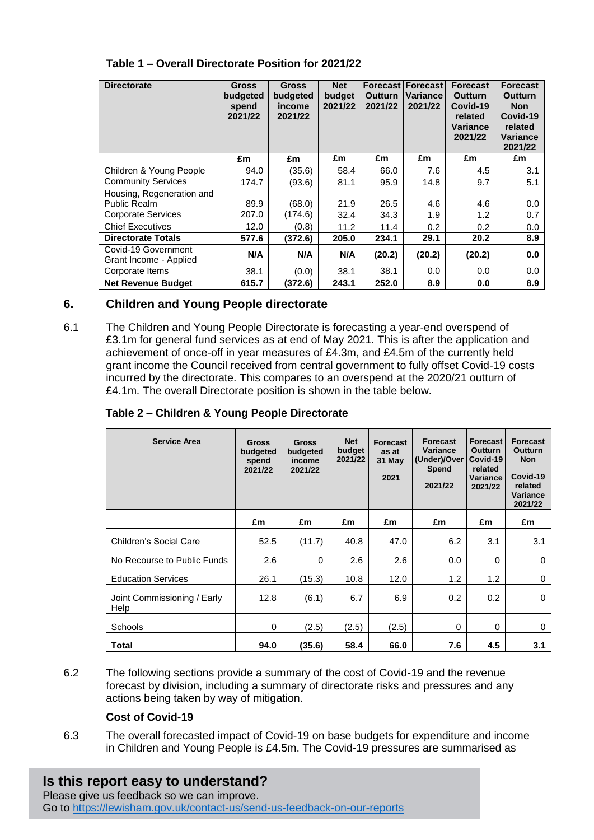| <b>Directorate</b>                            | <b>Gross</b><br>budgeted<br>spend<br>2021/22 | <b>Gross</b><br>budgeted<br>income<br>2021/22 | <b>Net</b><br>budget<br>2021/22 | <b>Outturn</b><br>2021/22 | <b>Forecast Forecast</b><br>Variance<br>2021/22 | <b>Forecast</b><br><b>Outturn</b><br>Covid-19<br>related<br>Variance<br>2021/22 | <b>Forecast</b><br><b>Outturn</b><br><b>Non</b><br>Covid-19<br>related<br>Variance<br>2021/22 |
|-----------------------------------------------|----------------------------------------------|-----------------------------------------------|---------------------------------|---------------------------|-------------------------------------------------|---------------------------------------------------------------------------------|-----------------------------------------------------------------------------------------------|
|                                               | £m                                           | £m                                            | £m                              | £m                        | £m                                              | £m                                                                              | £m                                                                                            |
| Children & Young People                       | 94.0                                         | (35.6)                                        | 58.4                            | 66.0                      | 7.6                                             | 4.5                                                                             | 3.1                                                                                           |
| <b>Community Services</b>                     | 174.7                                        | (93.6)                                        | 81.1                            | 95.9                      | 14.8                                            | 9.7                                                                             | 5.1                                                                                           |
| Housing, Regeneration and                     |                                              |                                               |                                 |                           |                                                 |                                                                                 |                                                                                               |
| Public Realm                                  | 89.9                                         | (68.0)                                        | 21.9                            | 26.5                      | 4.6                                             | 4.6                                                                             | 0.0                                                                                           |
| <b>Corporate Services</b>                     | 207.0                                        | (174.6)                                       | 32.4                            | 34.3                      | 1.9                                             | 1.2                                                                             | 0.7                                                                                           |
| <b>Chief Executives</b>                       | 12.0                                         | (0.8)                                         | 11.2                            | 11.4                      | 0.2                                             | 0.2                                                                             | 0.0                                                                                           |
| <b>Directorate Totals</b>                     | 577.6                                        | (372.6)                                       | 205.0                           | 234.1                     | 29.1                                            | 20.2                                                                            | 8.9                                                                                           |
| Covid-19 Government<br>Grant Income - Applied | N/A                                          | N/A                                           | N/A                             | (20.2)                    | (20.2)                                          | (20.2)                                                                          | 0.0                                                                                           |
| Corporate Items                               | 38.1                                         | (0.0)                                         | 38.1                            | 38.1                      | 0.0                                             | 0.0                                                                             | 0.0                                                                                           |
| <b>Net Revenue Budget</b>                     | 615.7                                        | (372.6)                                       | 243.1                           | 252.0                     | 8.9                                             | 0.0                                                                             | 8.9                                                                                           |

#### **Table 1 – Overall Directorate Position for 2021/22**

### **6. Children and Young People directorate**

6.1 The Children and Young People Directorate is forecasting a year-end overspend of £3.1m for general fund services as at end of May 2021. This is after the application and achievement of once-off in year measures of £4.3m, and £4.5m of the currently held grant income the Council received from central government to fully offset Covid-19 costs incurred by the directorate. This compares to an overspend at the 2020/21 outturn of £4.1m. The overall Directorate position is shown in the table below.

#### **Table 2 – Children & Young People Directorate**

| <b>Service Area</b>                 | <b>Gross</b><br>budgeted<br>spend<br>2021/22 | <b>Gross</b><br>budgeted<br>income<br>2021/22 | <b>Net</b><br>budget<br>2021/22 | <b>Forecast</b><br>as at<br>31 May<br>2021 | <b>Forecast</b><br>Variance<br>(Under)/Over<br><b>Spend</b><br>2021/22 | Forecast<br><b>Outturn</b><br>Covid-19<br>related<br>Variance<br>2021/22 | <b>Forecast</b><br><b>Outturn</b><br><b>Non</b><br>Covid-19<br>related<br><b>Variance</b><br>2021/22 |
|-------------------------------------|----------------------------------------------|-----------------------------------------------|---------------------------------|--------------------------------------------|------------------------------------------------------------------------|--------------------------------------------------------------------------|------------------------------------------------------------------------------------------------------|
|                                     | £m                                           | £m                                            | £m                              | £m                                         | £m                                                                     | £m                                                                       | £m                                                                                                   |
| Children's Social Care              | 52.5                                         | (11.7)                                        | 40.8                            | 47.0                                       | 6.2                                                                    | 3.1                                                                      | 3.1                                                                                                  |
| No Recourse to Public Funds         | 2.6                                          | $\Omega$                                      | 2.6                             | 2.6                                        | 0.0                                                                    | $\Omega$                                                                 | $\mathbf 0$                                                                                          |
| <b>Education Services</b>           | 26.1                                         | (15.3)                                        | 10.8                            | 12.0                                       | 1.2                                                                    | 1.2                                                                      | $\mathbf 0$                                                                                          |
| Joint Commissioning / Early<br>Help | 12.8                                         | (6.1)                                         | 6.7                             | 6.9                                        | 0.2                                                                    | 0.2                                                                      | $\mathbf 0$                                                                                          |
| Schools                             | 0                                            | (2.5)                                         | (2.5)                           | (2.5)                                      | 0                                                                      | 0                                                                        | 0                                                                                                    |
| Total                               | 94.0                                         | (35.6)                                        | 58.4                            | 66.0                                       | 7.6                                                                    | 4.5                                                                      | 3.1                                                                                                  |

6.2 The following sections provide a summary of the cost of Covid-19 and the revenue forecast by division, including a summary of directorate risks and pressures and any actions being taken by way of mitigation.

#### **Cost of Covid-19**

6.3 The overall forecasted impact of Covid-19 on base budgets for expenditure and income in Children and Young People is £4.5m. The Covid-19 pressures are summarised as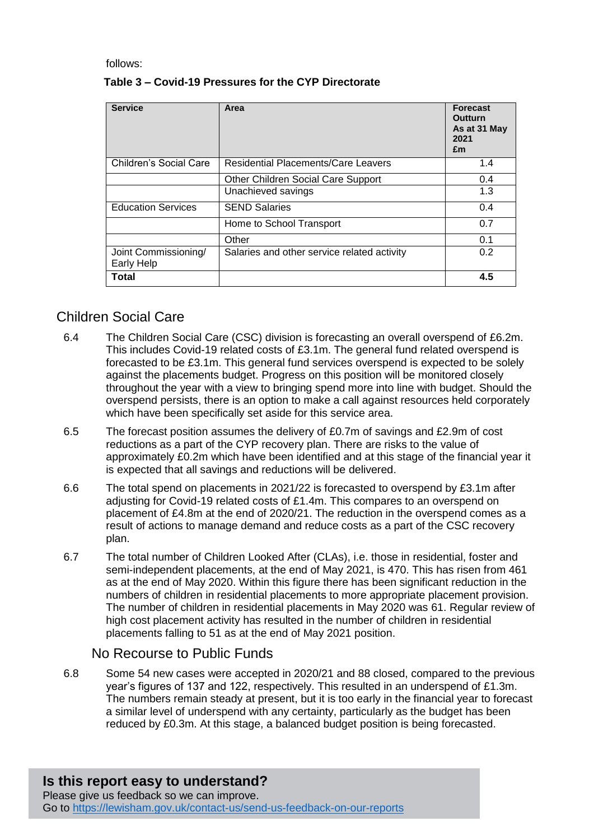follows:

| <b>Service</b>                     | Area                                        | <b>Forecast</b><br><b>Outturn</b><br>As at 31 May<br>2021<br>£m |
|------------------------------------|---------------------------------------------|-----------------------------------------------------------------|
| Children's Social Care             | <b>Residential Placements/Care Leavers</b>  | 1.4                                                             |
|                                    | Other Children Social Care Support          | 0.4                                                             |
|                                    | Unachieved savings                          | 1.3                                                             |
| <b>Education Services</b>          | <b>SEND Salaries</b>                        | 0.4                                                             |
|                                    | Home to School Transport                    | 0.7                                                             |
|                                    | Other                                       | 0.1                                                             |
| Joint Commissioning/<br>Early Help | Salaries and other service related activity | 0.2                                                             |
| Total                              |                                             | 4.5                                                             |

## **Table 3 – Covid-19 Pressures for the CYP Directorate**

# Children Social Care

- 6.4 The Children Social Care (CSC) division is forecasting an overall overspend of £6.2m. This includes Covid-19 related costs of £3.1m. The general fund related overspend is forecasted to be £3.1m. This general fund services overspend is expected to be solely against the placements budget. Progress on this position will be monitored closely throughout the year with a view to bringing spend more into line with budget. Should the overspend persists, there is an option to make a call against resources held corporately which have been specifically set aside for this service area.
- 6.5 The forecast position assumes the delivery of £0.7m of savings and £2.9m of cost reductions as a part of the CYP recovery plan. There are risks to the value of approximately £0.2m which have been identified and at this stage of the financial year it is expected that all savings and reductions will be delivered.
- 6.6 The total spend on placements in 2021/22 is forecasted to overspend by £3.1m after adjusting for Covid-19 related costs of £1.4m. This compares to an overspend on placement of £4.8m at the end of 2020/21. The reduction in the overspend comes as a result of actions to manage demand and reduce costs as a part of the CSC recovery plan.
- 6.7 The total number of Children Looked After (CLAs), i.e. those in residential, foster and semi-independent placements, at the end of May 2021, is 470. This has risen from 461 as at the end of May 2020. Within this figure there has been significant reduction in the numbers of children in residential placements to more appropriate placement provision. The number of children in residential placements in May 2020 was 61. Regular review of high cost placement activity has resulted in the number of children in residential placements falling to 51 as at the end of May 2021 position.

# No Recourse to Public Funds

6.8 Some 54 new cases were accepted in 2020/21 and 88 closed, compared to the previous year's figures of 137 and 122, respectively. This resulted in an underspend of £1.3m. The numbers remain steady at present, but it is too early in the financial year to forecast a similar level of underspend with any certainty, particularly as the budget has been reduced by £0.3m. At this stage, a balanced budget position is being forecasted.

#### **Is this report easy to understand?** Please give us feedback so we can improve. Go to<https://lewisham.gov.uk/contact-us/send-us-feedback-on-our-reports>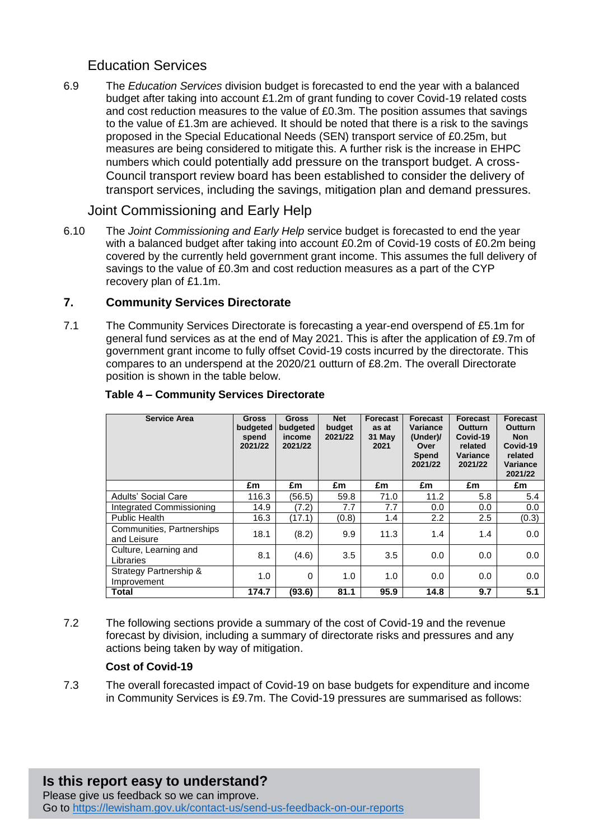# Education Services

6.9 The *Education Services* division budget is forecasted to end the year with a balanced budget after taking into account £1.2m of grant funding to cover Covid-19 related costs and cost reduction measures to the value of £0.3m. The position assumes that savings to the value of £1.3m are achieved. It should be noted that there is a risk to the savings proposed in the Special Educational Needs (SEN) transport service of £0.25m, but measures are being considered to mitigate this. A further risk is the increase in EHPC numbers which could potentially add pressure on the transport budget. A cross-Council transport review board has been established to consider the delivery of transport services, including the savings, mitigation plan and demand pressures.

## Joint Commissioning and Early Help

6.10 The *Joint Commissioning and Early Help* service budget is forecasted to end the year with a balanced budget after taking into account £0.2m of Covid-19 costs of £0.2m being covered by the currently held government grant income. This assumes the full delivery of savings to the value of £0.3m and cost reduction measures as a part of the CYP recovery plan of £1.1m.

### **7. Community Services Directorate**

7.1 The Community Services Directorate is forecasting a year-end overspend of £5.1m for general fund services as at the end of May 2021. This is after the application of £9.7m of government grant income to fully offset Covid-19 costs incurred by the directorate. This compares to an underspend at the 2020/21 outturn of £8.2m. The overall Directorate position is shown in the table below.

| <b>Service Area</b>                      | <b>Gross</b><br>budgeted<br>spend<br>2021/22 | <b>Gross</b><br>budgeted<br>income<br>2021/22 | <b>Net</b><br>budget<br>2021/22 | <b>Forecast</b><br>as at<br>31 May<br>2021 | Forecast<br>Variance<br>(Under)/<br>Over<br>Spend<br>2021/22 | Forecast<br><b>Outturn</b><br>Covid-19<br>related<br>Variance<br>2021/22 | Forecast<br><b>Outturn</b><br><b>Non</b><br>Covid-19<br>related<br>Variance<br>2021/22 |
|------------------------------------------|----------------------------------------------|-----------------------------------------------|---------------------------------|--------------------------------------------|--------------------------------------------------------------|--------------------------------------------------------------------------|----------------------------------------------------------------------------------------|
|                                          | £m                                           | £m                                            | £m                              | £m                                         | £m                                                           | £m                                                                       | £m                                                                                     |
| <b>Adults' Social Care</b>               | 116.3                                        | (56.5)                                        | 59.8                            | 71.0                                       | 11.2                                                         | 5.8                                                                      | 5.4                                                                                    |
| Integrated Commissioning                 | 14.9                                         | (7.2)                                         | 7.7                             | 7.7                                        | 0.0                                                          | 0.0                                                                      | 0.0                                                                                    |
| <b>Public Health</b>                     | 16.3                                         | (17.1)                                        | (0.8)                           | 1.4                                        | 2.2                                                          | 2.5                                                                      | (0.3)                                                                                  |
| Communities, Partnerships<br>and Leisure | 18.1                                         | (8.2)                                         | 9.9                             | 11.3                                       | 1.4                                                          | 1.4                                                                      | 0.0                                                                                    |
| Culture, Learning and<br>Libraries       | 8.1                                          | (4.6)                                         | 3.5                             | 3.5                                        | 0.0                                                          | 0.0                                                                      | 0.0                                                                                    |
| Strategy Partnership &<br>Improvement    | 1.0                                          | $\Omega$                                      | 1.0                             | 1.0                                        | 0.0                                                          | 0.0                                                                      | 0.0                                                                                    |
| <b>Total</b>                             | 174.7                                        | (93.6)                                        | 81.1                            | 95.9                                       | 14.8                                                         | 9.7                                                                      | 5.1                                                                                    |

#### **Table 4 – Community Services Directorate**

7.2 The following sections provide a summary of the cost of Covid-19 and the revenue forecast by division, including a summary of directorate risks and pressures and any actions being taken by way of mitigation.

#### **Cost of Covid-19**

7.3 The overall forecasted impact of Covid-19 on base budgets for expenditure and income in Community Services is £9.7m. The Covid-19 pressures are summarised as follows:

# **Is this report easy to understand?**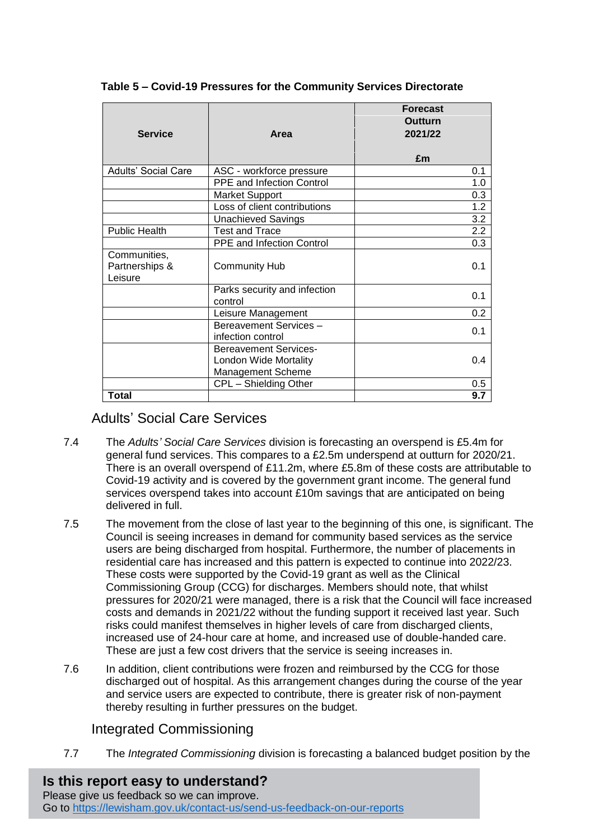| <b>Service</b>                            | Area                                                                       | <b>Forecast</b><br>Outturn<br>2021/22<br>£m |
|-------------------------------------------|----------------------------------------------------------------------------|---------------------------------------------|
| <b>Adults' Social Care</b>                | ASC - workforce pressure                                                   | 0.1                                         |
|                                           | <b>PPE and Infection Control</b>                                           | 1.0                                         |
|                                           | <b>Market Support</b>                                                      | 0.3                                         |
|                                           | Loss of client contributions                                               | 1.2                                         |
|                                           | <b>Unachieved Savings</b>                                                  | 3.2                                         |
| <b>Public Health</b>                      | <b>Test and Trace</b>                                                      | 2.2                                         |
|                                           | PPE and Infection Control                                                  | 0.3                                         |
| Communities,<br>Partnerships &<br>Leisure | <b>Community Hub</b>                                                       | 0.1                                         |
|                                           | Parks security and infection<br>control                                    | 0.1                                         |
|                                           | Leisure Management                                                         | 0.2                                         |
|                                           | Bereavement Services -<br>infection control                                | 0.1                                         |
|                                           | <b>Bereavement Services-</b><br>London Wide Mortality<br>Management Scheme | 0.4                                         |
|                                           | CPL - Shielding Other                                                      | 0.5                                         |
| <b>Total</b>                              |                                                                            | 9.7                                         |

 **Table 5 – Covid-19 Pressures for the Community Services Directorate**

## Adults' Social Care Services

- 7.4 The *Adults' Social Care Services* division is forecasting an overspend is £5.4m for general fund services. This compares to a £2.5m underspend at outturn for 2020/21. There is an overall overspend of £11.2m, where £5.8m of these costs are attributable to Covid-19 activity and is covered by the government grant income. The general fund services overspend takes into account £10m savings that are anticipated on being delivered in full.
- 7.5 The movement from the close of last year to the beginning of this one, is significant. The Council is seeing increases in demand for community based services as the service users are being discharged from hospital. Furthermore, the number of placements in residential care has increased and this pattern is expected to continue into 2022/23. These costs were supported by the Covid-19 grant as well as the Clinical Commissioning Group (CCG) for discharges. Members should note, that whilst pressures for 2020/21 were managed, there is a risk that the Council will face increased costs and demands in 2021/22 without the funding support it received last year. Such risks could manifest themselves in higher levels of care from discharged clients, increased use of 24-hour care at home, and increased use of double-handed care. These are just a few cost drivers that the service is seeing increases in.
- 7.6 In addition, client contributions were frozen and reimbursed by the CCG for those discharged out of hospital. As this arrangement changes during the course of the year and service users are expected to contribute, there is greater risk of non-payment thereby resulting in further pressures on the budget.

# Integrated Commissioning

7.7 The *Integrated Commissioning* division is forecasting a balanced budget position by the

**Is this report easy to understand?** Please give us feedback so we can improve. Go to<https://lewisham.gov.uk/contact-us/send-us-feedback-on-our-reports>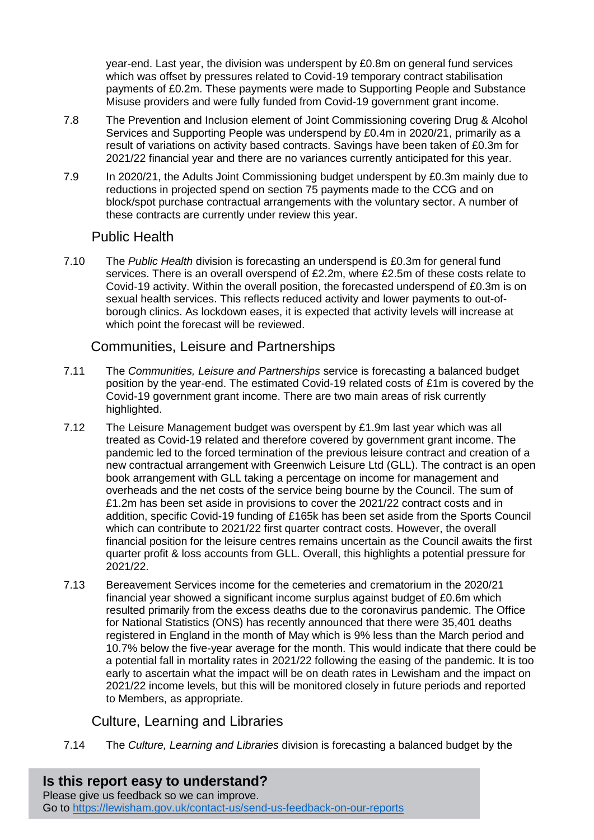year-end. Last year, the division was underspent by £0.8m on general fund services which was offset by pressures related to Covid-19 temporary contract stabilisation payments of £0.2m. These payments were made to Supporting People and Substance Misuse providers and were fully funded from Covid-19 government grant income.

- 7.8 The Prevention and Inclusion element of Joint Commissioning covering Drug & Alcohol Services and Supporting People was underspend by £0.4m in 2020/21, primarily as a result of variations on activity based contracts. Savings have been taken of £0.3m for 2021/22 financial year and there are no variances currently anticipated for this year.
- 7.9 In 2020/21, the Adults Joint Commissioning budget underspent by £0.3m mainly due to reductions in projected spend on section 75 payments made to the CCG and on block/spot purchase contractual arrangements with the voluntary sector. A number of these contracts are currently under review this year.

## Public Health

7.10 The *Public Health* division is forecasting an underspend is £0.3m for general fund services. There is an overall overspend of £2.2m, where £2.5m of these costs relate to Covid-19 activity. Within the overall position, the forecasted underspend of £0.3m is on sexual health services. This reflects reduced activity and lower payments to out-ofborough clinics. As lockdown eases, it is expected that activity levels will increase at which point the forecast will be reviewed.

## Communities, Leisure and Partnerships

- 7.11 The *Communities, Leisure and Partnerships* service is forecasting a balanced budget position by the year-end. The estimated Covid-19 related costs of £1m is covered by the Covid-19 government grant income. There are two main areas of risk currently highlighted.
- 7.12 The Leisure Management budget was overspent by £1.9m last year which was all treated as Covid-19 related and therefore covered by government grant income. The pandemic led to the forced termination of the previous leisure contract and creation of a new contractual arrangement with Greenwich Leisure Ltd (GLL). The contract is an open book arrangement with GLL taking a percentage on income for management and overheads and the net costs of the service being bourne by the Council. The sum of £1.2m has been set aside in provisions to cover the 2021/22 contract costs and in addition, specific Covid-19 funding of £165k has been set aside from the Sports Council which can contribute to 2021/22 first quarter contract costs. However, the overall financial position for the leisure centres remains uncertain as the Council awaits the first quarter profit & loss accounts from GLL. Overall, this highlights a potential pressure for 2021/22.
- 7.13 Bereavement Services income for the cemeteries and crematorium in the 2020/21 financial year showed a significant income surplus against budget of £0.6m which resulted primarily from the excess deaths due to the coronavirus pandemic. The Office for National Statistics (ONS) has recently announced that there were 35,401 deaths registered in England in the month of May which is 9% less than the March period and 10.7% below the five-year average for the month. This would indicate that there could be a potential fall in mortality rates in 2021/22 following the easing of the pandemic. It is too early to ascertain what the impact will be on death rates in Lewisham and the impact on 2021/22 income levels, but this will be monitored closely in future periods and reported to Members, as appropriate.

# Culture, Learning and Libraries

7.14 The *Culture, Learning and Libraries* division is forecasting a balanced budget by the

**Is this report easy to understand?** Please give us feedback so we can improve. Go to<https://lewisham.gov.uk/contact-us/send-us-feedback-on-our-reports>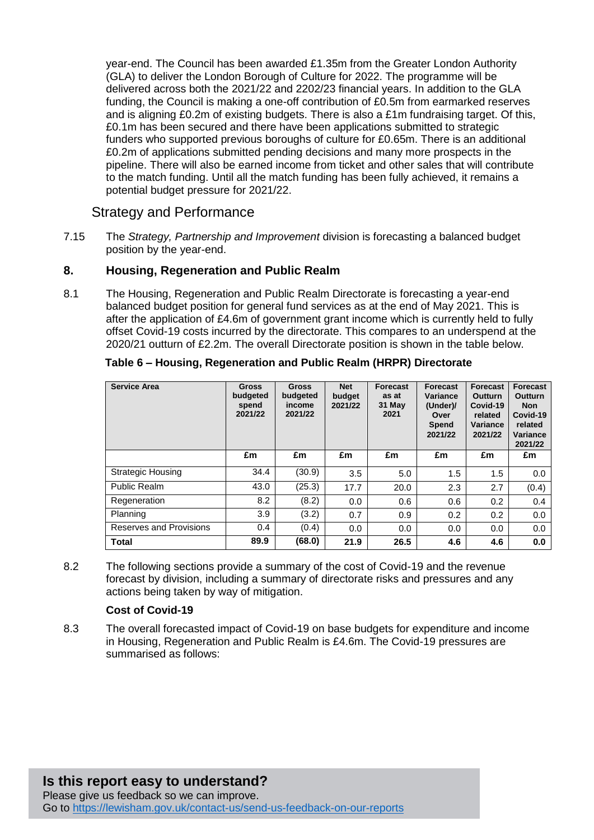year-end. The Council has been awarded £1.35m from the Greater London Authority (GLA) to deliver the London Borough of Culture for 2022. The programme will be delivered across both the 2021/22 and 2202/23 financial years. In addition to the GLA funding, the Council is making a one-off contribution of £0.5m from earmarked reserves and is aligning  $£0.2m$  of existing budgets. There is also a  $£1m$  fundraising target. Of this, £0.1m has been secured and there have been applications submitted to strategic funders who supported previous boroughs of culture for £0.65m. There is an additional £0.2m of applications submitted pending decisions and many more prospects in the pipeline. There will also be earned income from ticket and other sales that will contribute to the match funding. Until all the match funding has been fully achieved, it remains a potential budget pressure for 2021/22.

## Strategy and Performance

7.15 The *Strategy, Partnership and Improvement* division is forecasting a balanced budget position by the year-end.

## **8. Housing, Regeneration and Public Realm**

8.1 The Housing, Regeneration and Public Realm Directorate is forecasting a year-end balanced budget position for general fund services as at the end of May 2021. This is after the application of £4.6m of government grant income which is currently held to fully offset Covid-19 costs incurred by the directorate. This compares to an underspend at the 2020/21 outturn of £2.2m. The overall Directorate position is shown in the table below.

| <b>Service Area</b>      | <b>Gross</b><br>budgeted<br>spend<br>2021/22 | <b>Gross</b><br>budgeted<br>income<br>2021/22 | <b>Net</b><br>budget<br>2021/22 | <b>Forecast</b><br>as at<br>31 May<br>2021 | <b>Forecast</b><br>Variance<br>(Under)/<br>Over<br>Spend<br>2021/22 | Forecast<br>Outturn<br>Covid-19<br>related<br>Variance<br>2021/22 | <b>Forecast</b><br><b>Outturn</b><br><b>Non</b><br>Covid-19<br>related<br>Variance<br>2021/22 |
|--------------------------|----------------------------------------------|-----------------------------------------------|---------------------------------|--------------------------------------------|---------------------------------------------------------------------|-------------------------------------------------------------------|-----------------------------------------------------------------------------------------------|
|                          | £m                                           | £m                                            | £m                              | £m                                         | £m                                                                  | £m                                                                | £m                                                                                            |
| <b>Strategic Housing</b> | 34.4                                         | (30.9)                                        | 3.5                             | 5.0                                        | 1.5                                                                 | 1.5                                                               | 0.0                                                                                           |
| <b>Public Realm</b>      | 43.0                                         | (25.3)                                        | 17.7                            | 20.0                                       | 2.3                                                                 | 2.7                                                               | (0.4)                                                                                         |
| Regeneration             | 8.2                                          | (8.2)                                         | 0.0                             | 0.6                                        | 0.6                                                                 | 0.2                                                               | 0.4                                                                                           |
| Planning                 | 3.9                                          | (3.2)                                         | 0.7                             | 0.9                                        | 0.2                                                                 | 0.2                                                               | 0.0                                                                                           |
| Reserves and Provisions  | 0.4                                          | (0.4)                                         | 0.0                             | 0.0                                        | 0.0                                                                 | 0.0                                                               | 0.0                                                                                           |
| <b>Total</b>             | 89.9                                         | (68.0)                                        | 21.9                            | 26.5                                       | 4.6                                                                 | 4.6                                                               | 0.0                                                                                           |

#### **Table 6 – Housing, Regeneration and Public Realm (HRPR) Directorate**

8.2 The following sections provide a summary of the cost of Covid-19 and the revenue forecast by division, including a summary of directorate risks and pressures and any actions being taken by way of mitigation.

#### **Cost of Covid-19**

8.3 The overall forecasted impact of Covid-19 on base budgets for expenditure and income in Housing, Regeneration and Public Realm is £4.6m. The Covid-19 pressures are summarised as follows: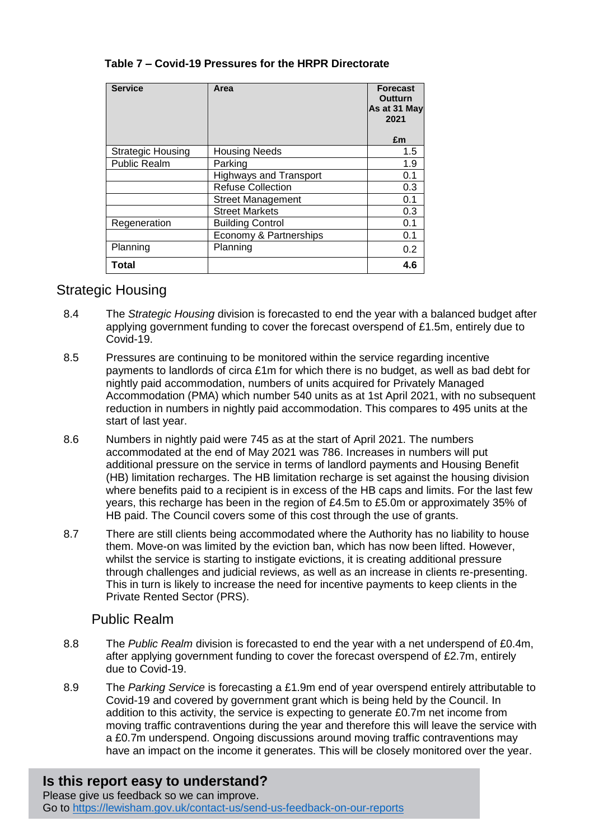| <b>Service</b>           | Area                          | <b>Forecast</b><br>Outturn<br>As at 31 May<br>2021<br>£m |
|--------------------------|-------------------------------|----------------------------------------------------------|
| <b>Strategic Housing</b> | <b>Housing Needs</b>          | 1.5                                                      |
| Public Realm             | Parking                       | 1.9                                                      |
|                          | <b>Highways and Transport</b> | 0.1                                                      |
|                          | <b>Refuse Collection</b>      | 0.3                                                      |
|                          | <b>Street Management</b>      | 0.1                                                      |
|                          | <b>Street Markets</b>         | 0.3                                                      |
| Regeneration             | <b>Building Control</b>       | 0.1                                                      |
|                          | Economy & Partnerships        | 0.1                                                      |
| Planning                 | Planning                      | 0.2                                                      |
| Total                    |                               | 4.6                                                      |

### **Table 7 – Covid-19 Pressures for the HRPR Directorate**

### Strategic Housing

- 8.4 The *Strategic Housing* division is forecasted to end the year with a balanced budget after applying government funding to cover the forecast overspend of £1.5m, entirely due to Covid-19.
- 8.5 Pressures are continuing to be monitored within the service regarding incentive payments to landlords of circa £1m for which there is no budget, as well as bad debt for nightly paid accommodation, numbers of units acquired for Privately Managed Accommodation (PMA) which number 540 units as at 1st April 2021, with no subsequent reduction in numbers in nightly paid accommodation. This compares to 495 units at the start of last year.
- 8.6 Numbers in nightly paid were 745 as at the start of April 2021. The numbers accommodated at the end of May 2021 was 786. Increases in numbers will put additional pressure on the service in terms of landlord payments and Housing Benefit (HB) limitation recharges. The HB limitation recharge is set against the housing division where benefits paid to a recipient is in excess of the HB caps and limits. For the last few years, this recharge has been in the region of £4.5m to £5.0m or approximately 35% of HB paid. The Council covers some of this cost through the use of grants.
- 8.7 There are still clients being accommodated where the Authority has no liability to house them. Move-on was limited by the eviction ban, which has now been lifted. However, whilst the service is starting to instigate evictions, it is creating additional pressure through challenges and judicial reviews, as well as an increase in clients re-presenting. This in turn is likely to increase the need for incentive payments to keep clients in the Private Rented Sector (PRS).

## Public Realm

- 8.8 The *Public Realm* division is forecasted to end the year with a net underspend of £0.4m, after applying government funding to cover the forecast overspend of £2.7m, entirely due to Covid-19.
- 8.9 The *Parking Service* is forecasting a £1.9m end of year overspend entirely attributable to Covid-19 and covered by government grant which is being held by the Council. In addition to this activity, the service is expecting to generate £0.7m net income from moving traffic contraventions during the year and therefore this will leave the service with a £0.7m underspend. Ongoing discussions around moving traffic contraventions may have an impact on the income it generates. This will be closely monitored over the year.

# **Is this report easy to understand?**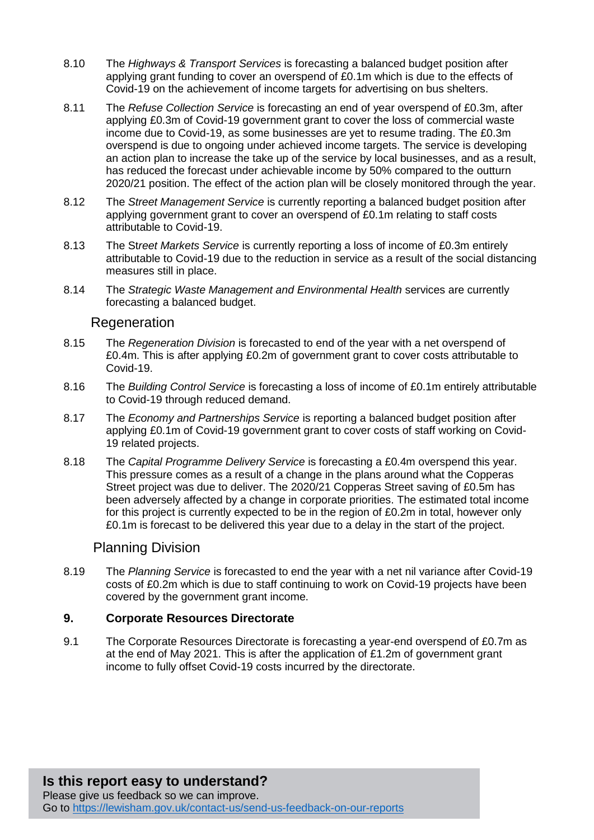- 8.10 The *Highways & Transport Services* is forecasting a balanced budget position after applying grant funding to cover an overspend of £0.1m which is due to the effects of Covid-19 on the achievement of income targets for advertising on bus shelters.
- 8.11 The *Refuse Collection Service* is forecasting an end of year overspend of £0.3m, after applying £0.3m of Covid-19 government grant to cover the loss of commercial waste income due to Covid-19, as some businesses are yet to resume trading. The £0.3m overspend is due to ongoing under achieved income targets. The service is developing an action plan to increase the take up of the service by local businesses, and as a result, has reduced the forecast under achievable income by 50% compared to the outturn 2020/21 position. The effect of the action plan will be closely monitored through the year.
- 8.12 The *Street Management Service* is currently reporting a balanced budget position after applying government grant to cover an overspend of £0.1m relating to staff costs attributable to Covid-19.
- 8.13 The St*reet Markets Service* is currently reporting a loss of income of £0.3m entirely attributable to Covid-19 due to the reduction in service as a result of the social distancing measures still in place.
- 8.14 The *Strategic Waste Management and Environmental Health* services are currently forecasting a balanced budget.

#### **Regeneration**

- 8.15 The *Regeneration Division* is forecasted to end of the year with a net overspend of £0.4m. This is after applying £0.2m of government grant to cover costs attributable to Covid-19.
- 8.16 The *Building Control Service* is forecasting a loss of income of £0.1m entirely attributable to Covid-19 through reduced demand.
- 8.17 The *Economy and Partnerships Service* is reporting a balanced budget position after applying £0.1m of Covid-19 government grant to cover costs of staff working on Covid-19 related projects.
- 8.18 The *Capital Programme Delivery Service* is forecasting a £0.4m overspend this year. This pressure comes as a result of a change in the plans around what the Copperas Street project was due to deliver. The 2020/21 Copperas Street saving of £0.5m has been adversely affected by a change in corporate priorities. The estimated total income for this project is currently expected to be in the region of £0.2m in total, however only £0.1m is forecast to be delivered this year due to a delay in the start of the project.

#### Planning Division

8.19 The *Planning Service* is forecasted to end the year with a net nil variance after Covid-19 costs of £0.2m which is due to staff continuing to work on Covid-19 projects have been covered by the government grant income.

#### **9. Corporate Resources Directorate**

9.1 The Corporate Resources Directorate is forecasting a year-end overspend of £0.7m as at the end of May 2021. This is after the application of £1.2m of government grant income to fully offset Covid-19 costs incurred by the directorate.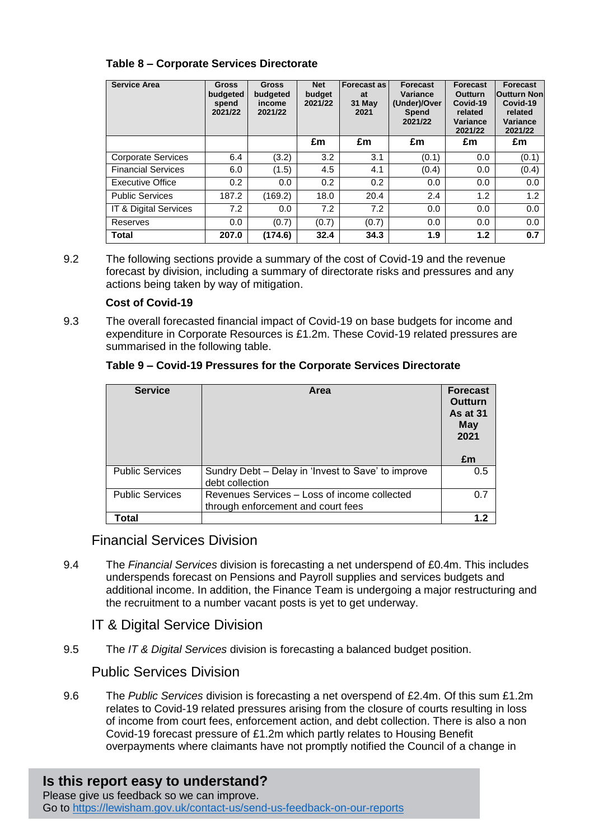### **Table 8 – Corporate Services Directorate**

| <b>Service Area</b>       | <b>Gross</b><br>budgeted<br>spend<br>2021/22 | <b>Gross</b><br>budgeted<br>income<br>2021/22 | <b>Net</b><br>budget<br>2021/22 | <b>Forecast as</b><br>at<br>31 May<br>2021 | <b>Forecast</b><br>Variance<br>(Under)/Over<br><b>Spend</b><br>2021/22 | <b>Forecast</b><br>Outturn<br>Covid-19<br>related<br>Variance<br>2021/22 | <b>Forecast</b><br><b>Outturn Non</b><br>Covid-19<br>related<br>Variance<br>2021/22 |
|---------------------------|----------------------------------------------|-----------------------------------------------|---------------------------------|--------------------------------------------|------------------------------------------------------------------------|--------------------------------------------------------------------------|-------------------------------------------------------------------------------------|
|                           |                                              |                                               | £m                              | £m                                         | £m                                                                     | £m                                                                       | £m                                                                                  |
| <b>Corporate Services</b> | 6.4                                          | (3.2)                                         | 3.2                             | 3.1                                        | (0.1)                                                                  | 0.0                                                                      | (0.1)                                                                               |
| <b>Financial Services</b> | 6.0                                          | (1.5)                                         | 4.5                             | 4.1                                        | (0.4)                                                                  | 0.0                                                                      | (0.4)                                                                               |
| <b>Executive Office</b>   | 0.2                                          | 0.0                                           | 0.2                             | 0.2                                        | 0.0                                                                    | 0.0                                                                      | 0.0                                                                                 |
| <b>Public Services</b>    | 187.2                                        | (169.2)                                       | 18.0                            | 20.4                                       | 2.4                                                                    | 1.2                                                                      | 1.2                                                                                 |
| IT & Digital Services     | 7.2                                          | 0.0                                           | 7.2                             | 7.2                                        | 0.0                                                                    | 0.0                                                                      | 0.0                                                                                 |
| Reserves                  | 0.0                                          | (0.7)                                         | (0.7)                           | (0.7)                                      | 0.0                                                                    | 0.0                                                                      | 0.0                                                                                 |
| <b>Total</b>              | 207.0                                        | (174.6)                                       | 32.4                            | 34.3                                       | 1.9                                                                    | 1.2                                                                      | 0.7                                                                                 |

9.2 The following sections provide a summary of the cost of Covid-19 and the revenue forecast by division, including a summary of directorate risks and pressures and any actions being taken by way of mitigation.

#### **Cost of Covid-19**

9.3 The overall forecasted financial impact of Covid-19 on base budgets for income and expenditure in Corporate Resources is £1.2m. These Covid-19 related pressures are summarised in the following table.

| <b>Service</b>         | Area                                                                               | <b>Forecast</b><br>Outturn<br><b>As at 31</b><br>May<br>2021 |
|------------------------|------------------------------------------------------------------------------------|--------------------------------------------------------------|
|                        |                                                                                    | £m                                                           |
| <b>Public Services</b> | Sundry Debt – Delay in 'Invest to Save' to improve<br>debt collection              | $0.5^{\circ}$                                                |
| <b>Public Services</b> | Revenues Services - Loss of income collected<br>through enforcement and court fees | 0.7                                                          |
| Total                  |                                                                                    | 1.2                                                          |

#### **Table 9 – Covid-19 Pressures for the Corporate Services Directorate**

# Financial Services Division

9.4 The *Financial Services* division is forecasting a net underspend of £0.4m. This includes underspends forecast on Pensions and Payroll supplies and services budgets and additional income. In addition, the Finance Team is undergoing a major restructuring and the recruitment to a number vacant posts is yet to get underway.

# IT & Digital Service Division

9.5 The *IT & Digital Services* division is forecasting a balanced budget position.

# Public Services Division

9.6 The *Public Services* division is forecasting a net overspend of £2.4m. Of this sum £1.2m relates to Covid-19 related pressures arising from the closure of courts resulting in loss of income from court fees, enforcement action, and debt collection. There is also a non Covid-19 forecast pressure of £1.2m which partly relates to Housing Benefit overpayments where claimants have not promptly notified the Council of a change in

# **Is this report easy to understand?**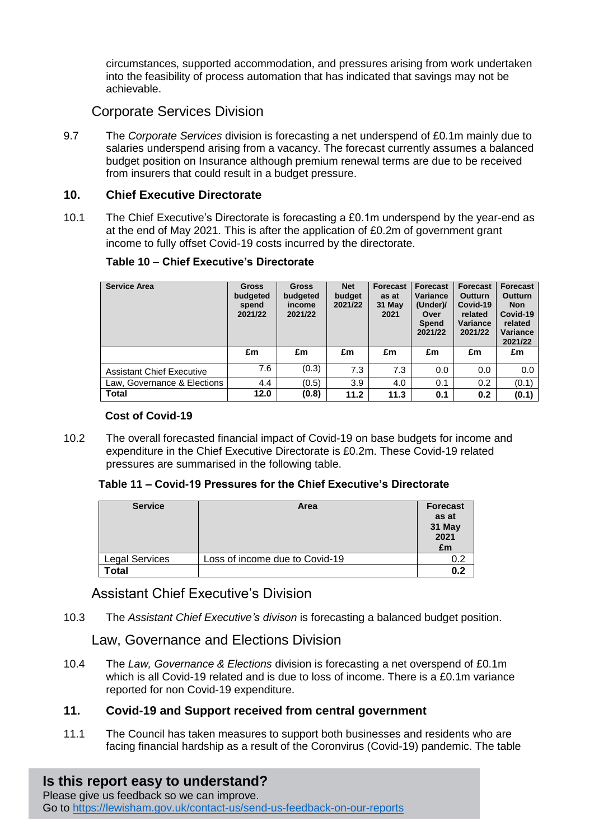circumstances, supported accommodation, and pressures arising from work undertaken into the feasibility of process automation that has indicated that savings may not be achievable.

# Corporate Services Division

9.7 The *Corporate Services* division is forecasting a net underspend of £0.1m mainly due to salaries underspend arising from a vacancy. The forecast currently assumes a balanced budget position on Insurance although premium renewal terms are due to be received from insurers that could result in a budget pressure.

### **10. Chief Executive Directorate**

10.1 The Chief Executive's Directorate is forecasting a £0.1m underspend by the year-end as at the end of May 2021. This is after the application of £0.2m of government grant income to fully offset Covid-19 costs incurred by the directorate.

| <b>Service Area</b>              | <b>Gross</b><br>budgeted<br>spend<br>2021/22 | <b>Gross</b><br>budgeted<br>income<br>2021/22 | <b>Net</b><br>budget<br>2021/22 | Forecast<br>as at<br>31 May<br>2021 | Forecast<br>Variance<br>(Under)/<br>Over<br><b>Spend</b><br>2021/22 | Forecast<br><b>Outturn</b><br>Covid-19<br>related<br>Variance<br>2021/22 | <b>Forecast</b><br><b>Outturn</b><br><b>Non</b><br>Covid-19<br>related<br>Variance<br>2021/22 |
|----------------------------------|----------------------------------------------|-----------------------------------------------|---------------------------------|-------------------------------------|---------------------------------------------------------------------|--------------------------------------------------------------------------|-----------------------------------------------------------------------------------------------|
|                                  | £m                                           | £m                                            | £m                              | £m                                  | £m                                                                  | £m                                                                       | £m                                                                                            |
| <b>Assistant Chief Executive</b> | 7.6                                          | (0.3)                                         | 7.3                             | 7.3                                 | 0.0                                                                 | 0.0                                                                      | 0.0                                                                                           |
| Law, Governance & Elections      | 4.4                                          | (0.5)                                         | 3.9                             | 4.0                                 | 0.1                                                                 | 0.2                                                                      | (0.1)                                                                                         |
| <b>Total</b>                     | 12.0                                         | (0.8)                                         | 11.2                            | 11.3                                | 0.1                                                                 | 0.2                                                                      | (0.1)                                                                                         |

#### **Table 10 – Chief Executive's Directorate**

#### **Cost of Covid-19**

10.2 The overall forecasted financial impact of Covid-19 on base budgets for income and expenditure in the Chief Executive Directorate is £0.2m. These Covid-19 related pressures are summarised in the following table.

#### **Table 11 – Covid-19 Pressures for the Chief Executive's Directorate**

| <b>Service</b>        | Area                           | <b>Forecast</b><br>as at<br>31 May<br>2021<br>£m |
|-----------------------|--------------------------------|--------------------------------------------------|
| <b>Legal Services</b> | Loss of income due to Covid-19 |                                                  |
| Total                 |                                | በ ጋ                                              |

# Assistant Chief Executive's Division

10.3 The *Assistant Chief Executive's divison* is forecasting a balanced budget position.

Law, Governance and Elections Division

10.4 The *Law, Governance & Elections* division is forecasting a net overspend of £0.1m which is all Covid-19 related and is due to loss of income. There is a £0.1m variance reported for non Covid-19 expenditure.

## **11. Covid-19 and Support received from central government**

11.1 The Council has taken measures to support both businesses and residents who are facing financial hardship as a result of the Coronvirus (Covid-19) pandemic. The table

**Is this report easy to understand?**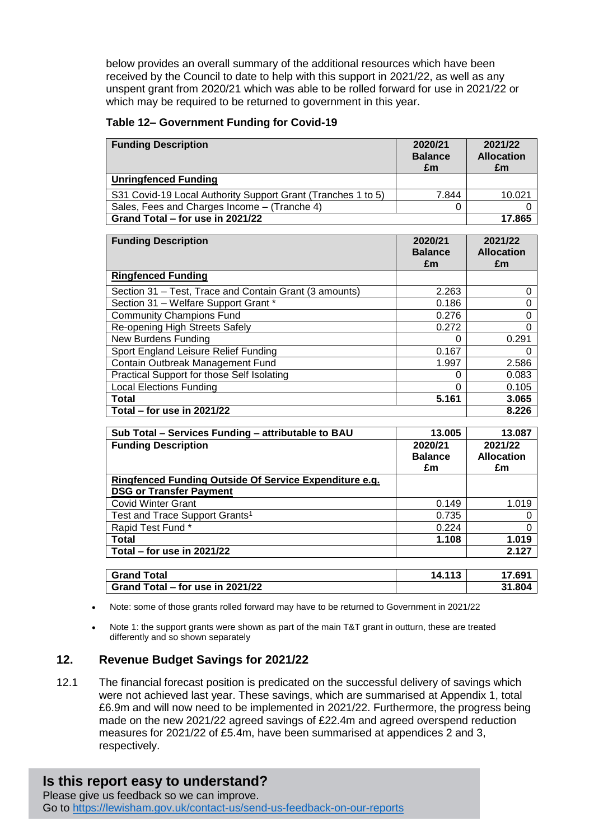below provides an overall summary of the additional resources which have been received by the Council to date to help with this support in 2021/22, as well as any unspent grant from 2020/21 which was able to be rolled forward for use in 2021/22 or which may be required to be returned to government in this year.

#### **Table 12– Government Funding for Covid-19**

| <b>Funding Description</b>                                   | 2020/21<br><b>Balance</b><br>£m | 2021/22<br><b>Allocation</b><br>£m |
|--------------------------------------------------------------|---------------------------------|------------------------------------|
| <b>Unringfenced Funding</b>                                  |                                 |                                    |
| S31 Covid-19 Local Authority Support Grant (Tranches 1 to 5) | 7.844                           | 10.021                             |
| Sales, Fees and Charges Income – (Tranche 4)                 |                                 |                                    |
| Grand Total - for use in 2021/22                             | 17.865                          |                                    |

| <b>Funding Description</b>                             | 2020/21<br><b>Balance</b><br>£m | 2021/22<br><b>Allocation</b><br>£m |
|--------------------------------------------------------|---------------------------------|------------------------------------|
| <b>Ringfenced Funding</b>                              |                                 |                                    |
| Section 31 – Test, Trace and Contain Grant (3 amounts) | 2.263                           |                                    |
| Section 31 - Welfare Support Grant *                   | 0.186                           |                                    |
| <b>Community Champions Fund</b>                        | 0.276                           |                                    |
| Re-opening High Streets Safely                         | 0.272                           | Ω                                  |
| <b>New Burdens Funding</b>                             | 0                               | 0.291                              |
| Sport England Leisure Relief Funding                   | 0.167                           |                                    |
| Contain Outbreak Management Fund                       | 1.997                           | 2.586                              |
| Practical Support for those Self Isolating             | 0                               | 0.083                              |
| <b>Local Elections Funding</b>                         | $\Omega$                        | 0.105                              |
| Total                                                  | 5.161                           | 3.065                              |
| Total – for use in $2021/22$                           |                                 | 8.226                              |

| Sub Total - Services Funding - attributable to BAU     | 13.005         | 13.087            |
|--------------------------------------------------------|----------------|-------------------|
| <b>Funding Description</b>                             | 2020/21        | 2021/22           |
|                                                        | <b>Balance</b> | <b>Allocation</b> |
|                                                        | £m             | £m                |
| Ringfenced Funding Outside Of Service Expenditure e.g. |                |                   |
| <b>DSG or Transfer Payment</b>                         |                |                   |
| <b>Covid Winter Grant</b>                              | 0.149          | 1.019             |
| Test and Trace Support Grants <sup>1</sup>             | 0.735          |                   |
| Rapid Test Fund*                                       | 0.224          |                   |
| Total                                                  | 1.108          | 1.019             |
| Total – for use in $2021/22$                           |                | 2.127             |
|                                                        |                |                   |
| $\bigcap_{n=1}^{\infty}$ of $\bigcup_{n=1}^{\infty}$   | <i></i>        | 17001             |

| <b>Grand Total</b>               | іл | 17.691 |
|----------------------------------|----|--------|
| Grand Total – for use in 2021/22 |    | 31.804 |

Note: some of those grants rolled forward may have to be returned to Government in 2021/22

 Note 1: the support grants were shown as part of the main T&T grant in outturn, these are treated differently and so shown separately

#### **12. Revenue Budget Savings for 2021/22**

12.1 The financial forecast position is predicated on the successful delivery of savings which were not achieved last year. These savings, which are summarised at Appendix 1, total £6.9m and will now need to be implemented in 2021/22. Furthermore, the progress being made on the new 2021/22 agreed savings of £22.4m and agreed overspend reduction measures for 2021/22 of £5.4m, have been summarised at appendices 2 and 3, respectively.

## **Is this report easy to understand?**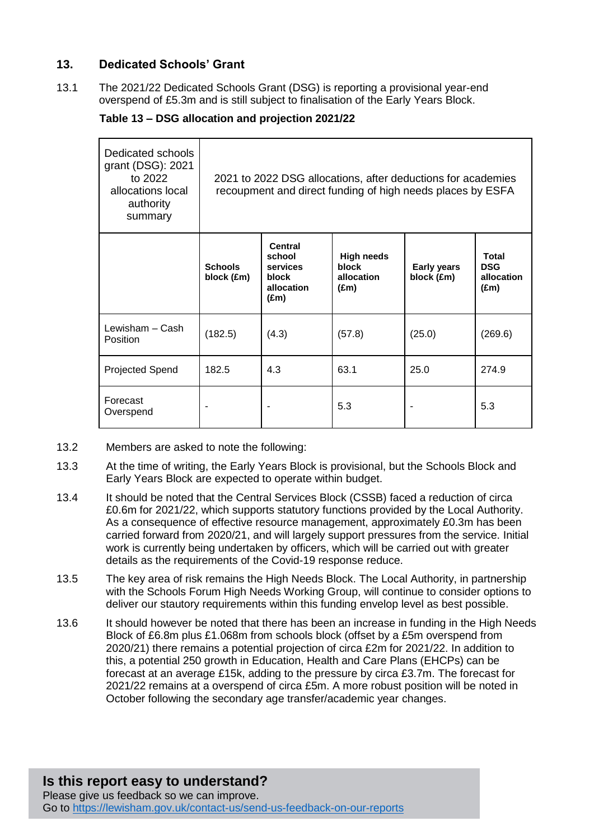## **13. Dedicated Schools' Grant**

13.1 The 2021/22 Dedicated Schools Grant (DSG) is reporting a provisional year-end overspend of £5.3m and is still subject to finalisation of the Early Years Block.

#### **Table 13 – DSG allocation and projection 2021/22**

| Dedicated schools<br>grant (DSG): 2021<br>to 2022<br>allocations local<br>authority<br>summary | 2021 to 2022 DSG allocations, after deductions for academies<br>recoupment and direct funding of high needs places by ESFA |                                                                       |                                                           |                                  |                                                           |
|------------------------------------------------------------------------------------------------|----------------------------------------------------------------------------------------------------------------------------|-----------------------------------------------------------------------|-----------------------------------------------------------|----------------------------------|-----------------------------------------------------------|
|                                                                                                | <b>Schools</b><br>block (£m)                                                                                               | Central<br>school<br>services<br>block<br>allocation<br>$(\text{Em})$ | <b>High needs</b><br>block<br>allocation<br>$(\text{Em})$ | <b>Early years</b><br>block (£m) | <b>Total</b><br><b>DSG</b><br>allocation<br>$(\text{Em})$ |
| Lewisham – Cash<br>Position                                                                    | (182.5)                                                                                                                    | (4.3)                                                                 | (57.8)                                                    | (25.0)                           | (269.6)                                                   |
| <b>Projected Spend</b>                                                                         | 182.5                                                                                                                      | 4.3                                                                   | 63.1                                                      | 25.0                             | 274.9                                                     |
| Forecast<br>Overspend                                                                          |                                                                                                                            |                                                                       | 5.3                                                       |                                  | 5.3                                                       |

- 13.2 Members are asked to note the following:
- 13.3 At the time of writing, the Early Years Block is provisional, but the Schools Block and Early Years Block are expected to operate within budget.
- 13.4 It should be noted that the Central Services Block (CSSB) faced a reduction of circa £0.6m for 2021/22, which supports statutory functions provided by the Local Authority. As a consequence of effective resource management, approximately £0.3m has been carried forward from 2020/21, and will largely support pressures from the service. Initial work is currently being undertaken by officers, which will be carried out with greater details as the requirements of the Covid-19 response reduce.
- 13.5 The key area of risk remains the High Needs Block. The Local Authority, in partnership with the Schools Forum High Needs Working Group, will continue to consider options to deliver our stautory requirements within this funding envelop level as best possible.
- 13.6 It should however be noted that there has been an increase in funding in the High Needs Block of £6.8m plus £1.068m from schools block (offset by a £5m overspend from 2020/21) there remains a potential projection of circa £2m for 2021/22. In addition to this, a potential 250 growth in Education, Health and Care Plans (EHCPs) can be forecast at an average £15k, adding to the pressure by circa £3.7m. The forecast for 2021/22 remains at a overspend of circa £5m. A more robust position will be noted in October following the secondary age transfer/academic year changes.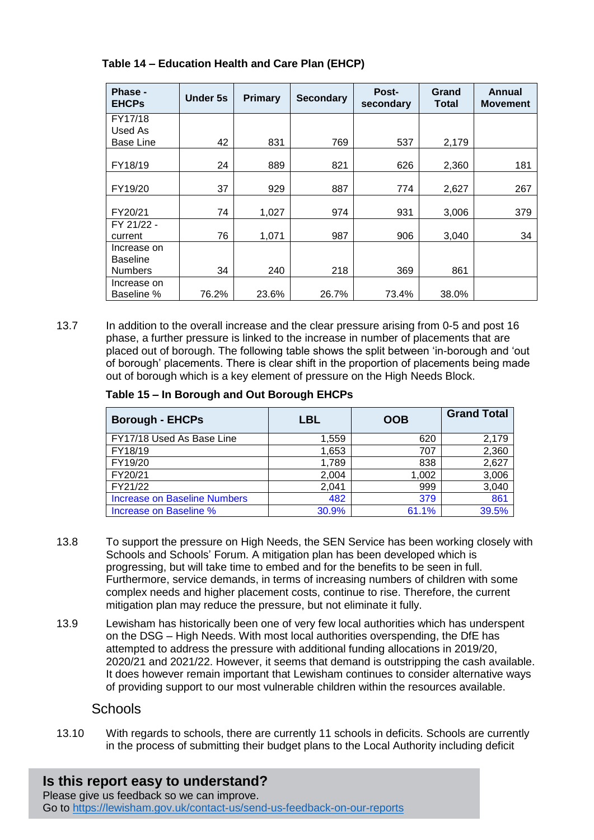| Phase -<br><b>EHCPs</b> | Under 5s | Primary | <b>Secondary</b> | Post-<br>secondary | Grand<br>Total | Annual<br><b>Movement</b> |
|-------------------------|----------|---------|------------------|--------------------|----------------|---------------------------|
| FY17/18                 |          |         |                  |                    |                |                           |
| Used As                 |          |         |                  |                    |                |                           |
| Base Line               | 42       | 831     | 769              | 537                | 2,179          |                           |
|                         |          |         |                  |                    |                |                           |
| FY18/19                 | 24       | 889     | 821              | 626                | 2,360          | 181                       |
|                         |          |         |                  |                    |                |                           |
| FY19/20                 | 37       | 929     | 887              | 774                | 2,627          | 267                       |
|                         |          |         |                  |                    |                |                           |
| FY20/21                 | 74       | 1,027   | 974              | 931                | 3,006          | 379                       |
| FY 21/22 -              |          |         |                  |                    |                |                           |
| current                 | 76       | 1,071   | 987              | 906                | 3,040          | 34                        |
| Increase on             |          |         |                  |                    |                |                           |
| <b>Baseline</b>         |          |         |                  |                    |                |                           |
| <b>Numbers</b>          | 34       | 240     | 218              | 369                | 861            |                           |
| Increase on             |          |         |                  |                    |                |                           |
| Baseline %              | 76.2%    | 23.6%   | 26.7%            | 73.4%              | 38.0%          |                           |

#### **Table 14 – Education Health and Care Plan (EHCP)**

13.7 In addition to the overall increase and the clear pressure arising from 0-5 and post 16 phase, a further pressure is linked to the increase in number of placements that are placed out of borough. The following table shows the split between 'in-borough and 'out of borough' placements. There is clear shift in the proportion of placements being made out of borough which is a key element of pressure on the High Needs Block.

#### **Table 15 – In Borough and Out Borough EHCPs**

| <b>Borough - EHCPs</b>              | LBL   | <b>OOB</b> | <b>Grand Total</b> |
|-------------------------------------|-------|------------|--------------------|
| FY17/18 Used As Base Line           | 1,559 | 620        | 2,179              |
| FY18/19                             | 1,653 | 707        | 2,360              |
| FY19/20                             | 1,789 | 838        | 2,627              |
| FY20/21                             | 2,004 | 1,002      | 3,006              |
| FY21/22                             | 2,041 | 999        | 3,040              |
| <b>Increase on Baseline Numbers</b> | 482   | 379        | 861                |
| Increase on Baseline %              | 30.9% | 61.1%      | 39.5%              |

- 13.8 To support the pressure on High Needs, the SEN Service has been working closely with Schools and Schools' Forum. A mitigation plan has been developed which is progressing, but will take time to embed and for the benefits to be seen in full. Furthermore, service demands, in terms of increasing numbers of children with some complex needs and higher placement costs, continue to rise. Therefore, the current mitigation plan may reduce the pressure, but not eliminate it fully.
- 13.9 Lewisham has historically been one of very few local authorities which has underspent on the DSG – High Needs. With most local authorities overspending, the DfE has attempted to address the pressure with additional funding allocations in 2019/20, 2020/21 and 2021/22. However, it seems that demand is outstripping the cash available. It does however remain important that Lewisham continues to consider alternative ways of providing support to our most vulnerable children within the resources available.

## **Schools**

13.10 With regards to schools, there are currently 11 schools in deficits. Schools are currently in the process of submitting their budget plans to the Local Authority including deficit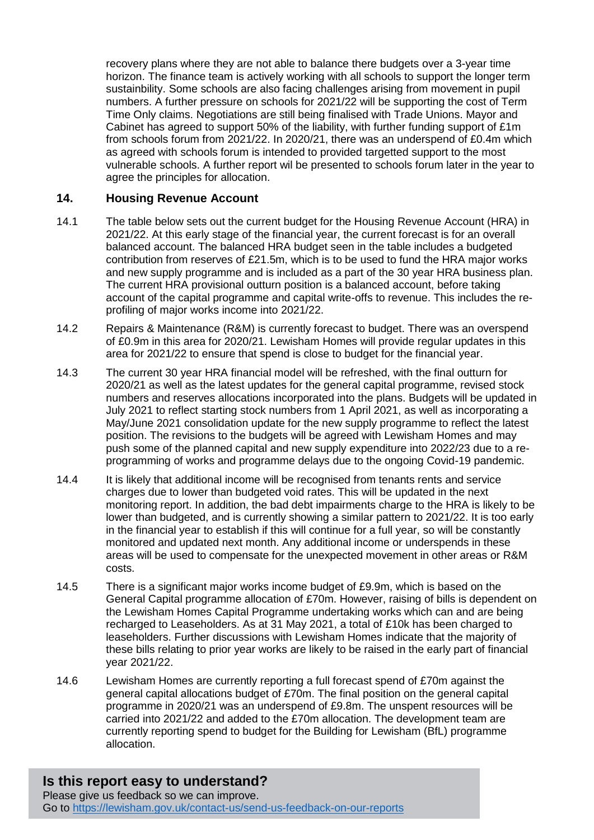recovery plans where they are not able to balance there budgets over a 3-year time horizon. The finance team is actively working with all schools to support the longer term sustainbility. Some schools are also facing challenges arising from movement in pupil numbers. A further pressure on schools for 2021/22 will be supporting the cost of Term Time Only claims. Negotiations are still being finalised with Trade Unions. Mayor and Cabinet has agreed to support 50% of the liability, with further funding support of £1m from schools forum from 2021/22. In 2020/21, there was an underspend of £0.4m which as agreed with schools forum is intended to provided targetted support to the most vulnerable schools. A further report wil be presented to schools forum later in the year to agree the principles for allocation.

#### **14. Housing Revenue Account**

- 14.1 The table below sets out the current budget for the Housing Revenue Account (HRA) in 2021/22. At this early stage of the financial year, the current forecast is for an overall balanced account. The balanced HRA budget seen in the table includes a budgeted contribution from reserves of £21.5m, which is to be used to fund the HRA major works and new supply programme and is included as a part of the 30 year HRA business plan. The current HRA provisional outturn position is a balanced account, before taking account of the capital programme and capital write-offs to revenue. This includes the reprofiling of major works income into 2021/22.
- 14.2 Repairs & Maintenance (R&M) is currently forecast to budget. There was an overspend of £0.9m in this area for 2020/21. Lewisham Homes will provide regular updates in this area for 2021/22 to ensure that spend is close to budget for the financial year.
- 14.3 The current 30 year HRA financial model will be refreshed, with the final outturn for 2020/21 as well as the latest updates for the general capital programme, revised stock numbers and reserves allocations incorporated into the plans. Budgets will be updated in July 2021 to reflect starting stock numbers from 1 April 2021, as well as incorporating a May/June 2021 consolidation update for the new supply programme to reflect the latest position. The revisions to the budgets will be agreed with Lewisham Homes and may push some of the planned capital and new supply expenditure into 2022/23 due to a reprogramming of works and programme delays due to the ongoing Covid-19 pandemic.
- 14.4 It is likely that additional income will be recognised from tenants rents and service charges due to lower than budgeted void rates. This will be updated in the next monitoring report. In addition, the bad debt impairments charge to the HRA is likely to be lower than budgeted, and is currently showing a similar pattern to 2021/22. It is too early in the financial year to establish if this will continue for a full year, so will be constantly monitored and updated next month. Any additional income or underspends in these areas will be used to compensate for the unexpected movement in other areas or R&M costs.
- 14.5 There is a significant major works income budget of £9.9m, which is based on the General Capital programme allocation of £70m. However, raising of bills is dependent on the Lewisham Homes Capital Programme undertaking works which can and are being recharged to Leaseholders. As at 31 May 2021, a total of £10k has been charged to leaseholders. Further discussions with Lewisham Homes indicate that the majority of these bills relating to prior year works are likely to be raised in the early part of financial year 2021/22.
- 14.6 Lewisham Homes are currently reporting a full forecast spend of £70m against the general capital allocations budget of £70m. The final position on the general capital programme in 2020/21 was an underspend of £9.8m. The unspent resources will be carried into 2021/22 and added to the £70m allocation. The development team are currently reporting spend to budget for the Building for Lewisham (BfL) programme allocation.

**Is this report easy to understand?** Please give us feedback so we can improve. Go to<https://lewisham.gov.uk/contact-us/send-us-feedback-on-our-reports>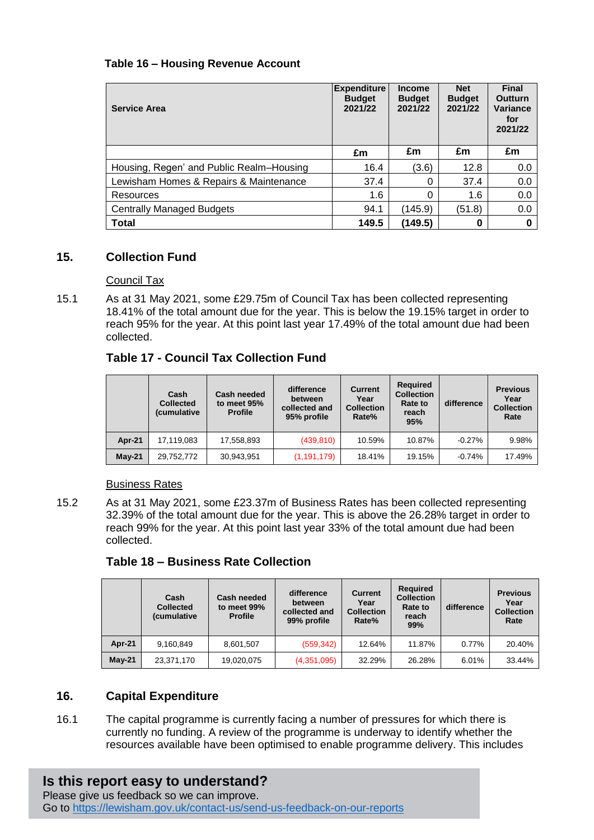### **Table 16 – Housing Revenue Account**

| <b>Service Area</b>                      | <b>Expenditure</b><br><b>Budget</b><br>2021/22 | <b>Income</b><br><b>Budget</b><br>2021/22 | <b>Net</b><br><b>Budget</b><br>2021/22 | Final<br><b>Outturn</b><br><b>Variance</b><br>for<br>2021/22 |
|------------------------------------------|------------------------------------------------|-------------------------------------------|----------------------------------------|--------------------------------------------------------------|
|                                          | £m                                             | £m                                        | £m                                     | £m                                                           |
| Housing, Regen' and Public Realm-Housing | 16.4                                           | (3.6)                                     | 12.8                                   | 0.0                                                          |
| Lewisham Homes & Repairs & Maintenance   | 37.4                                           | 0                                         | 37.4                                   | 0.0                                                          |
| Resources                                | 1.6                                            | 0                                         | 1.6                                    | 0.0                                                          |
| Centrally Managed Budgets                | 94.1                                           | (145.9)                                   | (51.8)                                 | 0.0                                                          |
| <b>Total</b>                             | 149.5                                          | (149.5)                                   | 0                                      | Ω                                                            |

### **15. Collection Fund**

#### Council Tax

15.1 As at 31 May 2021, some £29.75m of Council Tax has been collected representing 18.41% of the total amount due for the year. This is below the 19.15% target in order to reach 95% for the year. At this point last year 17.49% of the total amount due had been collected.

## **Table 17 - Council Tax Collection Fund**

|               | Cash<br><b>Collected</b><br>(cumulative | Cash needed<br>to meet 95%<br><b>Profile</b> | difference<br>between<br>collected and<br>95% profile | <b>Current</b><br>Year<br><b>Collection</b><br>Rate% | <b>Required</b><br><b>Collection</b><br>Rate to<br>reach<br>95% | difference | <b>Previous</b><br>Year<br><b>Collection</b><br>Rate |
|---------------|-----------------------------------------|----------------------------------------------|-------------------------------------------------------|------------------------------------------------------|-----------------------------------------------------------------|------------|------------------------------------------------------|
| <b>Apr-21</b> | 17.119.083                              | 17,558,893                                   | (439, 810)                                            | 10.59%                                               | 10.87%                                                          | $-0.27\%$  | 9.98%                                                |
| $May-21$      | 29,752,772                              | 30,943,951                                   | (1, 191, 179)                                         | 18.41%                                               | 19.15%                                                          | $-0.74%$   | 17.49%                                               |

#### Business Rates

15.2 As at 31 May 2021, some £23.37m of Business Rates has been collected representing 32.39% of the total amount due for the year. This is above the 26.28% target in order to reach 99% for the year. At this point last year 33% of the total amount due had been collected.

#### **Table 18 – Business Rate Collection**

|               | Cash<br><b>Collected</b><br><i>(cumulative</i> | Cash needed<br>to meet 99%<br><b>Profile</b> | difference<br>between<br>collected and<br>99% profile | <b>Current</b><br>Year<br><b>Collection</b><br>Rate% | <b>Required</b><br><b>Collection</b><br><b>Rate to</b><br>reach<br>99% | difference | <b>Previous</b><br>Year<br><b>Collection</b><br>Rate |
|---------------|------------------------------------------------|----------------------------------------------|-------------------------------------------------------|------------------------------------------------------|------------------------------------------------------------------------|------------|------------------------------------------------------|
| <b>Apr-21</b> | 9,160,849                                      | 8,601,507                                    | (559, 342)                                            | 12.64%                                               | 11.87%                                                                 | 0.77%      | 20.40%                                               |
| $May-21$      | 23,371,170                                     | 19,020,075                                   | (4,351,095)                                           | 32.29%                                               | 26.28%                                                                 | 6.01%      | 33.44%                                               |

## **16. Capital Expenditure**

16.1 The capital programme is currently facing a number of pressures for which there is currently no funding. A review of the programme is underway to identify whether the resources available have been optimised to enable programme delivery. This includes

# **Is this report easy to understand?**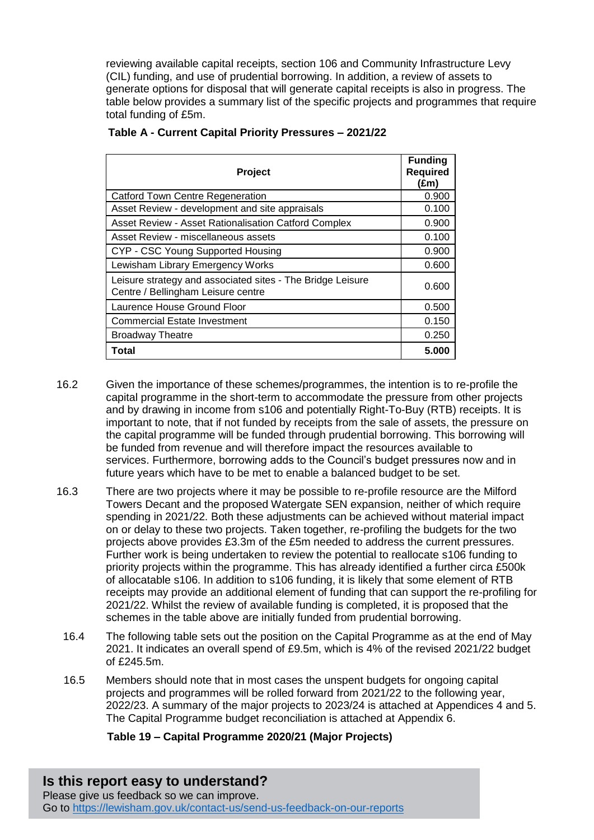reviewing available capital receipts, section 106 and Community Infrastructure Levy (CIL) funding, and use of prudential borrowing. In addition, a review of assets to generate options for disposal that will generate capital receipts is also in progress. The table below provides a summary list of the specific projects and programmes that require total funding of £5m.

| Project                                                                                          | <b>Funding</b><br><b>Required</b><br>(£m) |
|--------------------------------------------------------------------------------------------------|-------------------------------------------|
| <b>Catford Town Centre Regeneration</b>                                                          | 0.900                                     |
| Asset Review - development and site appraisals                                                   | 0.100                                     |
| Asset Review - Asset Rationalisation Catford Complex                                             | 0.900                                     |
| Asset Review - miscellaneous assets                                                              | 0.100                                     |
| CYP - CSC Young Supported Housing                                                                | 0.900                                     |
| Lewisham Library Emergency Works                                                                 | 0.600                                     |
| Leisure strategy and associated sites - The Bridge Leisure<br>Centre / Bellingham Leisure centre | 0.600                                     |
| Laurence House Ground Floor                                                                      | 0.500                                     |
| <b>Commercial Estate Investment</b>                                                              | 0.150                                     |
| <b>Broadway Theatre</b>                                                                          | 0.250                                     |
| Total                                                                                            | 5.000                                     |

#### **Table A - Current Capital Priority Pressures – 2021/22**

- 16.2 Given the importance of these schemes/programmes, the intention is to re-profile the capital programme in the short-term to accommodate the pressure from other projects and by drawing in income from s106 and potentially Right-To-Buy (RTB) receipts. It is important to note, that if not funded by receipts from the sale of assets, the pressure on the capital programme will be funded through prudential borrowing. This borrowing will be funded from revenue and will therefore impact the resources available to services. Furthermore, borrowing adds to the Council's budget pressures now and in future years which have to be met to enable a balanced budget to be set.
- 16.3 There are two projects where it may be possible to re-profile resource are the Milford Towers Decant and the proposed Watergate SEN expansion, neither of which require spending in 2021/22. Both these adjustments can be achieved without material impact on or delay to these two projects. Taken together, re-profiling the budgets for the two projects above provides £3.3m of the £5m needed to address the current pressures. Further work is being undertaken to review the potential to reallocate s106 funding to priority projects within the programme. This has already identified a further circa £500k of allocatable s106. In addition to s106 funding, it is likely that some element of RTB receipts may provide an additional element of funding that can support the re-profiling for 2021/22. Whilst the review of available funding is completed, it is proposed that the schemes in the table above are initially funded from prudential borrowing.
	- 16.4 The following table sets out the position on the Capital Programme as at the end of May 2021. It indicates an overall spend of £9.5m, which is 4% of the revised 2021/22 budget of £245.5m.
	- 16.5 Members should note that in most cases the unspent budgets for ongoing capital projects and programmes will be rolled forward from 2021/22 to the following year, 2022/23. A summary of the major projects to 2023/24 is attached at Appendices 4 and 5. The Capital Programme budget reconciliation is attached at Appendix 6.

#### **Table 19 – Capital Programme 2020/21 (Major Projects)**

**Is this report easy to understand?** Please give us feedback so we can improve. Go to<https://lewisham.gov.uk/contact-us/send-us-feedback-on-our-reports>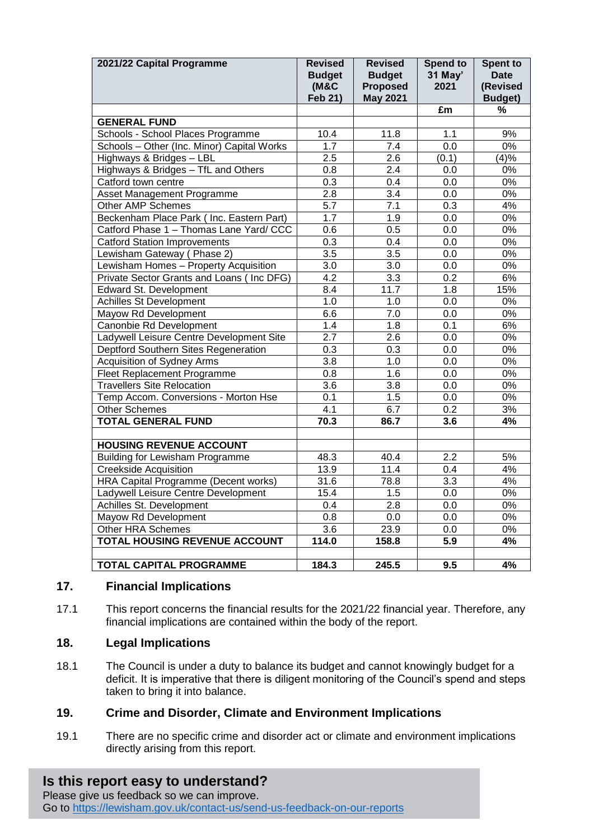| 2021/22 Capital Programme                  | <b>Revised</b><br><b>Budget</b><br><b>(M&amp;C</b><br>Feb 21) | <b>Revised</b><br><b>Budget</b><br><b>Proposed</b><br><b>May 2021</b> | <b>Spend to</b><br>31 May'<br>2021 | <b>Spent to</b><br><b>Date</b><br>(Revised<br><b>Budget</b> ) |
|--------------------------------------------|---------------------------------------------------------------|-----------------------------------------------------------------------|------------------------------------|---------------------------------------------------------------|
|                                            |                                                               |                                                                       | £m                                 | %                                                             |
| <b>GENERAL FUND</b>                        |                                                               |                                                                       |                                    |                                                               |
| Schools - School Places Programme          | 10.4                                                          | 11.8                                                                  | 1.1                                | 9%                                                            |
| Schools - Other (Inc. Minor) Capital Works | 1.7                                                           | 7.4                                                                   | 0.0                                | 0%                                                            |
| Highways & Bridges - LBL                   | 2.5                                                           | 2.6                                                                   | (0.1)                              | (4)%                                                          |
| Highways & Bridges - TfL and Others        | 0.8                                                           | 2.4                                                                   | 0.0                                | 0%                                                            |
| Catford town centre                        | 0.3                                                           | 0.4                                                                   | 0.0                                | 0%                                                            |
| Asset Management Programme                 | 2.8                                                           | $\overline{3.4}$                                                      | 0.0                                | 0%                                                            |
| Other AMP Schemes                          | 5.7                                                           | 7.1                                                                   | 0.3                                | 4%                                                            |
| Beckenham Place Park ( Inc. Eastern Part)  | 1.7                                                           | 1.9                                                                   | 0.0                                | 0%                                                            |
| Catford Phase 1 - Thomas Lane Yard/ CCC    | 0.6                                                           | 0.5                                                                   | 0.0                                | $0\%$                                                         |
| <b>Catford Station Improvements</b>        | 0.3                                                           | 0.4                                                                   | 0.0                                | 0%                                                            |
| Lewisham Gateway (Phase 2)                 | 3.5                                                           | $\overline{3.5}$                                                      | 0.0                                | $0\%$                                                         |
| Lewisham Homes - Property Acquisition      | 3.0                                                           | 3.0                                                                   | 0.0                                | 0%                                                            |
| Private Sector Grants and Loans (Inc DFG)  | 4.2                                                           | 3.3                                                                   | 0.2                                | 6%                                                            |
| <b>Edward St. Development</b>              | 8.4                                                           | 11.7                                                                  | $\overline{1.8}$                   | 15%                                                           |
| <b>Achilles St Development</b>             | 1.0                                                           | 1.0                                                                   | 0.0                                | 0%                                                            |
| Mayow Rd Development                       | 6.6                                                           | 7.0                                                                   | 0.0                                | $0\%$                                                         |
| Canonbie Rd Development                    | 1.4                                                           | $\overline{1.8}$                                                      | $\overline{0.1}$                   | 6%                                                            |
| Ladywell Leisure Centre Development Site   | $\overline{2.7}$                                              | $\overline{2.6}$                                                      | 0.0                                | $0\%$                                                         |
| Deptford Southern Sites Regeneration       | $\overline{0.3}$                                              | $\overline{0.3}$                                                      | $\overline{0.0}$                   | $0\%$                                                         |
| <b>Acquisition of Sydney Arms</b>          | $\overline{3.8}$                                              | 1.0                                                                   | 0.0                                | $0\%$                                                         |
| Fleet Replacement Programme                | $\overline{0.8}$                                              | 1.6                                                                   | 0.0                                | $0\%$                                                         |
| <b>Travellers Site Relocation</b>          | 3.6                                                           | 3.8                                                                   | 0.0                                | $0\%$                                                         |
| Temp Accom. Conversions - Morton Hse       | 0.1                                                           | 1.5                                                                   | 0.0                                | $0\%$                                                         |
| <b>Other Schemes</b>                       | 4.1                                                           | 6.7                                                                   | 0.2                                | 3%                                                            |
| <b>TOTAL GENERAL FUND</b>                  | 70.3                                                          | 86.7                                                                  | 3.6                                | 4%                                                            |
|                                            |                                                               |                                                                       |                                    |                                                               |
| <b>HOUSING REVENUE ACCOUNT</b>             |                                                               |                                                                       |                                    |                                                               |
| <b>Building for Lewisham Programme</b>     | 48.3                                                          | 40.4                                                                  | 2.2                                | 5%                                                            |
| <b>Creekside Acquisition</b>               | 13.9                                                          | 11.4                                                                  | $\overline{0.4}$                   | 4%                                                            |
| HRA Capital Programme (Decent works)       | 31.6                                                          | 78.8                                                                  | 3.3                                | 4%                                                            |
| Ladywell Leisure Centre Development        | 15.4                                                          | 1.5                                                                   | 0.0                                | 0%                                                            |
| Achilles St. Development                   | 0.4                                                           | 2.8                                                                   | 0.0                                | 0%                                                            |
| Mayow Rd Development                       | $\overline{0.8}$                                              | $\overline{0.0}$                                                      | $\overline{0.0}$                   | 0%                                                            |
| <b>Other HRA Schemes</b>                   | $\overline{3.6}$                                              | 23.9                                                                  | 0.0                                | $0\%$                                                         |
| <b>TOTAL HOUSING REVENUE ACCOUNT</b>       | 114.0                                                         | 158.8                                                                 | $\overline{5.9}$                   | 4%                                                            |
| <b>TOTAL CAPITAL PROGRAMME</b>             | 184.3                                                         | 245.5                                                                 | 9.5                                | 4%                                                            |

#### **17. Financial Implications**

17.1 This report concerns the financial results for the 2021/22 financial year. Therefore, any financial implications are contained within the body of the report.

## **18. Legal Implications**

18.1 The Council is under a duty to balance its budget and cannot knowingly budget for a deficit. It is imperative that there is diligent monitoring of the Council's spend and steps taken to bring it into balance.

## **19. Crime and Disorder, Climate and Environment Implications**

19.1 There are no specific crime and disorder act or climate and environment implications directly arising from this report.

# **Is this report easy to understand?**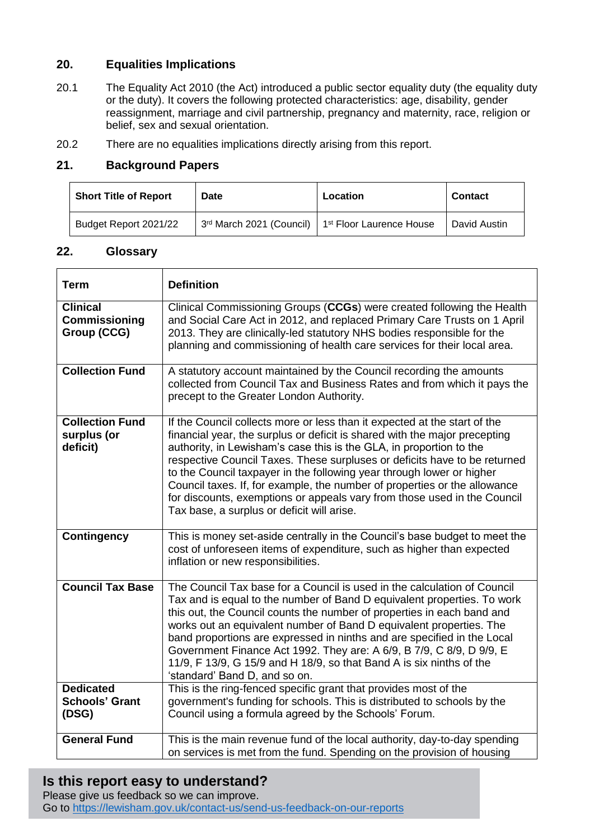## **20. Equalities Implications**

- 20.1 The Equality Act 2010 (the Act) introduced a public sector equality duty (the equality duty or the duty). It covers the following protected characteristics: age, disability, gender reassignment, marriage and civil partnership, pregnancy and maternity, race, religion or belief, sex and sexual orientation.
- 20.2 There are no equalities implications directly arising from this report.

### **21. Background Papers**

| <b>Short Title of Report</b> | Date                     | Location                             | <b>Contact</b> |
|------------------------------|--------------------------|--------------------------------------|----------------|
| Budget Report 2021/22        | 3rd March 2021 (Council) | 1 <sup>st</sup> Floor Laurence House | David Austin   |

#### **22. Glossary**

| <b>Term</b>                                            | <b>Definition</b>                                                                                                                                                                                                                                                                                                                                                                                                                                                                                                                                                                           |
|--------------------------------------------------------|---------------------------------------------------------------------------------------------------------------------------------------------------------------------------------------------------------------------------------------------------------------------------------------------------------------------------------------------------------------------------------------------------------------------------------------------------------------------------------------------------------------------------------------------------------------------------------------------|
| <b>Clinical</b><br><b>Commissioning</b><br>Group (CCG) | Clinical Commissioning Groups (CCGs) were created following the Health<br>and Social Care Act in 2012, and replaced Primary Care Trusts on 1 April<br>2013. They are clinically-led statutory NHS bodies responsible for the<br>planning and commissioning of health care services for their local area.                                                                                                                                                                                                                                                                                    |
| <b>Collection Fund</b>                                 | A statutory account maintained by the Council recording the amounts<br>collected from Council Tax and Business Rates and from which it pays the<br>precept to the Greater London Authority.                                                                                                                                                                                                                                                                                                                                                                                                 |
| <b>Collection Fund</b><br>surplus (or<br>deficit)      | If the Council collects more or less than it expected at the start of the<br>financial year, the surplus or deficit is shared with the major precepting<br>authority, in Lewisham's case this is the GLA, in proportion to the<br>respective Council Taxes. These surpluses or deficits have to be returned<br>to the Council taxpayer in the following year through lower or higher<br>Council taxes. If, for example, the number of properties or the allowance<br>for discounts, exemptions or appeals vary from those used in the Council<br>Tax base, a surplus or deficit will arise. |
| <b>Contingency</b>                                     | This is money set-aside centrally in the Council's base budget to meet the<br>cost of unforeseen items of expenditure, such as higher than expected<br>inflation or new responsibilities.                                                                                                                                                                                                                                                                                                                                                                                                   |
| <b>Council Tax Base</b>                                | The Council Tax base for a Council is used in the calculation of Council<br>Tax and is equal to the number of Band D equivalent properties. To work<br>this out, the Council counts the number of properties in each band and<br>works out an equivalent number of Band D equivalent properties. The<br>band proportions are expressed in ninths and are specified in the Local<br>Government Finance Act 1992. They are: A 6/9, B 7/9, C 8/9, D 9/9, E<br>11/9, F 13/9, G 15/9 and H 18/9, so that Band A is six ninths of the<br>'standard' Band D, and so on.                            |
| <b>Dedicated</b><br><b>Schools' Grant</b><br>(DSG)     | This is the ring-fenced specific grant that provides most of the<br>government's funding for schools. This is distributed to schools by the<br>Council using a formula agreed by the Schools' Forum.                                                                                                                                                                                                                                                                                                                                                                                        |
| <b>General Fund</b>                                    | This is the main revenue fund of the local authority, day-to-day spending<br>on services is met from the fund. Spending on the provision of housing                                                                                                                                                                                                                                                                                                                                                                                                                                         |

# **Is this report easy to understand?**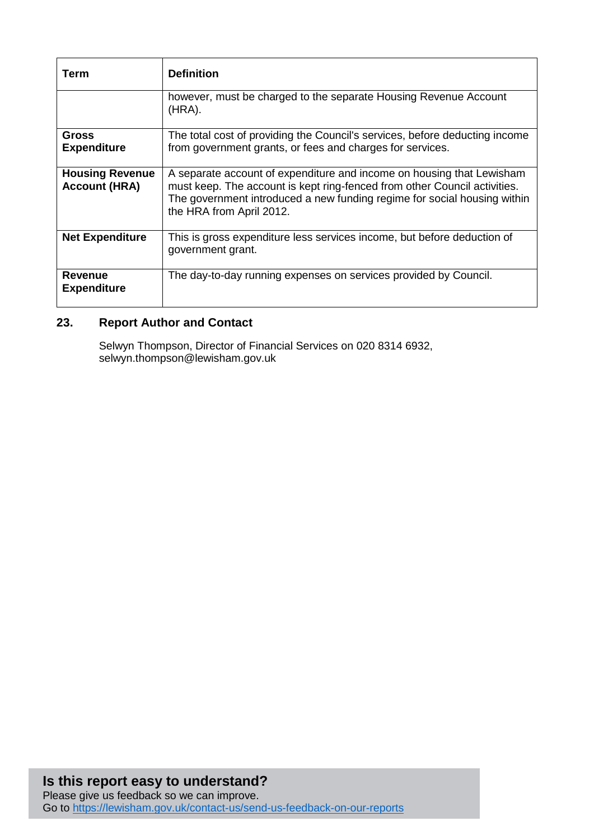| Term                                           | <b>Definition</b>                                                                                                                                                                                                                                          |
|------------------------------------------------|------------------------------------------------------------------------------------------------------------------------------------------------------------------------------------------------------------------------------------------------------------|
|                                                | however, must be charged to the separate Housing Revenue Account<br>$(HRA)$ .                                                                                                                                                                              |
| <b>Gross</b><br><b>Expenditure</b>             | The total cost of providing the Council's services, before deducting income<br>from government grants, or fees and charges for services.                                                                                                                   |
| <b>Housing Revenue</b><br><b>Account (HRA)</b> | A separate account of expenditure and income on housing that Lewisham<br>must keep. The account is kept ring-fenced from other Council activities.<br>The government introduced a new funding regime for social housing within<br>the HRA from April 2012. |
| <b>Net Expenditure</b>                         | This is gross expenditure less services income, but before deduction of<br>government grant.                                                                                                                                                               |
| <b>Revenue</b><br><b>Expenditure</b>           | The day-to-day running expenses on services provided by Council.                                                                                                                                                                                           |

# **23. Report Author and Contact**

Selwyn Thompson, Director of Financial Services on 020 8314 6932, selwyn.thompson@lewisham.gov.uk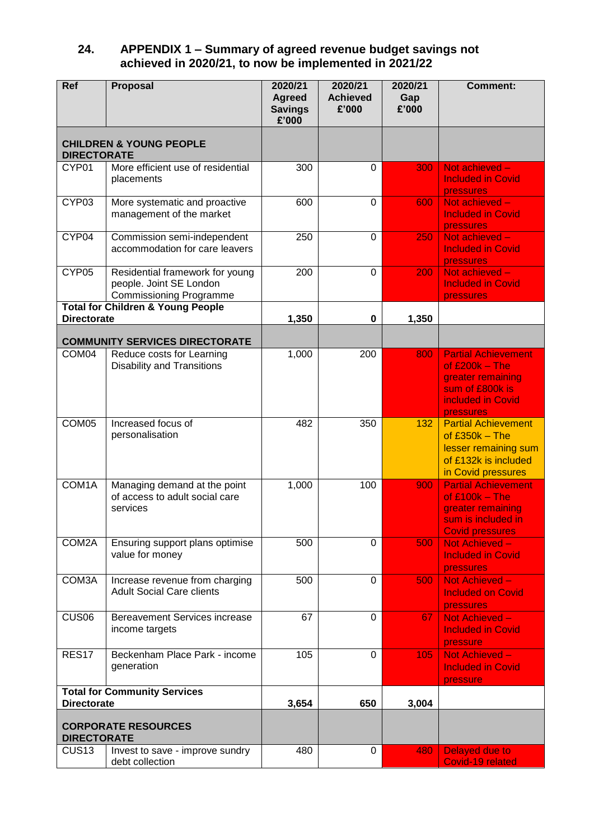#### **24. APPENDIX 1 – Summary of agreed revenue budget savings not achieved in 2020/21, to now be implemented in 2021/22**

| Ref                | <b>Proposal</b>                                                                              | 2020/21<br><b>Agreed</b><br><b>Savings</b><br>£'000 | 2020/21<br><b>Achieved</b><br>£'000 | 2020/21<br>Gap<br>£'000 | <b>Comment:</b>                                                                                                          |
|--------------------|----------------------------------------------------------------------------------------------|-----------------------------------------------------|-------------------------------------|-------------------------|--------------------------------------------------------------------------------------------------------------------------|
| <b>DIRECTORATE</b> | <b>CHILDREN &amp; YOUNG PEOPLE</b>                                                           |                                                     |                                     |                         |                                                                                                                          |
| CYP01              | More efficient use of residential<br>placements                                              | 300                                                 | 0                                   | 300                     | Not achieved -<br><b>Included in Covid</b><br>pressures                                                                  |
| CYP03              | More systematic and proactive<br>management of the market                                    | 600                                                 | $\mathbf 0$                         | 600                     | Not achieved -<br><b>Included in Covid</b><br>pressures                                                                  |
| CYP04              | Commission semi-independent<br>accommodation for care leavers                                | 250                                                 | $\mathbf 0$                         | 250                     | Not achieved -<br><b>Included in Covid</b><br>pressures                                                                  |
| CYP05              | Residential framework for young<br>people. Joint SE London<br><b>Commissioning Programme</b> | 200                                                 | $\mathbf 0$                         | 200                     | Not achieved -<br><b>Included in Covid</b><br>pressures                                                                  |
| <b>Directorate</b> | <b>Total for Children &amp; Young People</b>                                                 | 1,350                                               | 0                                   | 1,350                   |                                                                                                                          |
|                    | <b>COMMUNITY SERVICES DIRECTORATE</b>                                                        |                                                     |                                     |                         |                                                                                                                          |
| COM04              | Reduce costs for Learning<br><b>Disability and Transitions</b>                               | 1,000                                               | 200                                 | 800                     | <b>Partial Achievement</b><br>of $£200k - The$<br>greater remaining<br>sum of £800k is<br>included in Covid<br>pressures |
| COM <sub>05</sub>  | Increased focus of<br>personalisation                                                        | 482                                                 | 350                                 | 132                     | <b>Partial Achievement</b><br>of $£350k - The$<br>lesser remaining sum<br>of £132k is included<br>in Covid pressures     |
| COM1A              | Managing demand at the point<br>of access to adult social care<br>services                   | 1,000                                               | 100                                 | 900                     | <b>Partial Achievement</b><br>of $£100k - The$<br>greater remaining<br>sum is included in<br><b>Covid pressures</b>      |
| COM2A              | Ensuring support plans optimise<br>value for money                                           | 500                                                 | $\Omega$                            | 500                     | Not Achieved -<br><b>Included in Covid</b><br>pressures                                                                  |
| COM3A              | Increase revenue from charging<br><b>Adult Social Care clients</b>                           | 500                                                 | $\Omega$                            | 500                     | Not Achieved -<br><b>Included on Covid</b><br>pressures                                                                  |
| CUS <sub>06</sub>  | <b>Bereavement Services increase</b><br>income targets                                       | 67                                                  | 0                                   | 67                      | Not Achieved -<br><b>Included in Covid</b><br>pressure                                                                   |
| <b>RES17</b>       | Beckenham Place Park - income<br>generation                                                  | 105                                                 | 0                                   | 105                     | Not Achieved -<br><b>Included in Covid</b><br>pressure                                                                   |
| <b>Directorate</b> | <b>Total for Community Services</b>                                                          | 3,654                                               | 650                                 | 3,004                   |                                                                                                                          |
| <b>DIRECTORATE</b> | <b>CORPORATE RESOURCES</b>                                                                   |                                                     |                                     |                         |                                                                                                                          |
| CUS <sub>13</sub>  | Invest to save - improve sundry<br>debt collection                                           | 480                                                 | 0                                   | 480                     | Delayed due to<br>Covid-19 related                                                                                       |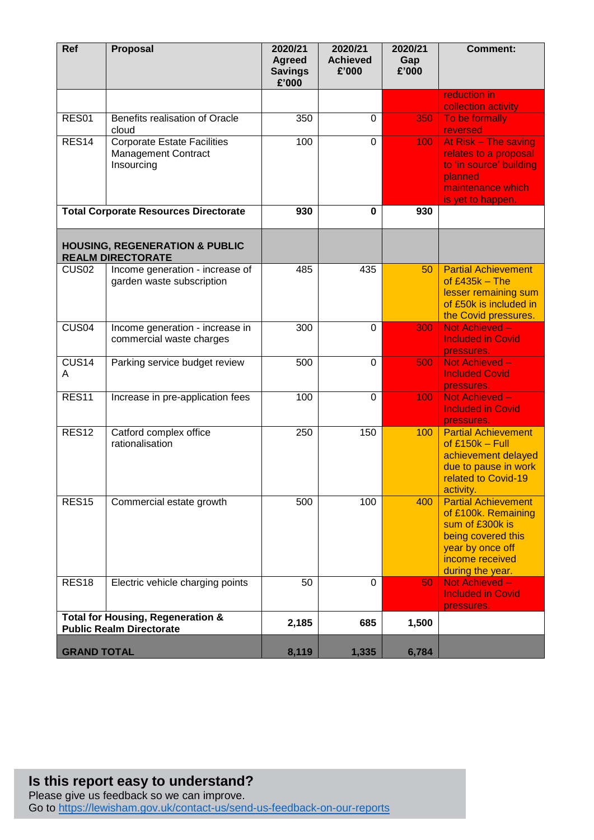| Ref                    | <b>Proposal</b>                                                                 | 2020/21<br><b>Agreed</b><br><b>Savings</b><br>£'000 | 2020/21<br><b>Achieved</b><br>£'000 | 2020/21<br>Gap<br>£'000 | <b>Comment:</b>                                                                                                                                       |
|------------------------|---------------------------------------------------------------------------------|-----------------------------------------------------|-------------------------------------|-------------------------|-------------------------------------------------------------------------------------------------------------------------------------------------------|
|                        |                                                                                 |                                                     |                                     |                         | reduction in<br>collection activity                                                                                                                   |
| RES01                  | Benefits realisation of Oracle<br>cloud                                         | 350                                                 | 0                                   | 350                     | To be formally<br>reversed                                                                                                                            |
| RES <sub>14</sub>      | <b>Corporate Estate Facilities</b><br><b>Management Contract</b><br>Insourcing  | 100                                                 | $\mathbf 0$                         | 100                     | At Risk - The saving<br>relates to a proposal<br>to 'in source' building<br>planned<br>maintenance which<br>is yet to happen.                         |
|                        | <b>Total Corporate Resources Directorate</b>                                    | 930                                                 | 0                                   | 930                     |                                                                                                                                                       |
|                        | <b>HOUSING, REGENERATION &amp; PUBLIC</b><br><b>REALM DIRECTORATE</b>           |                                                     |                                     |                         |                                                                                                                                                       |
| CUS <sub>02</sub>      | Income generation - increase of<br>garden waste subscription                    | 485                                                 | 435                                 | 50                      | <b>Partial Achievement</b><br>of $£435k - The$<br>lesser remaining sum<br>of £50k is included in<br>the Covid pressures.                              |
| CUS <sub>04</sub>      | Income generation - increase in<br>commercial waste charges                     | $\overline{3}00$                                    | $\mathbf 0$                         | 300                     | Not Achieved -<br><b>Included in Covid</b><br>pressures.                                                                                              |
| CUS <sub>14</sub><br>A | Parking service budget review                                                   | 500                                                 | $\mathbf 0$                         | 500                     | Not Achieved -<br><b>Included Covid</b><br>pressures.                                                                                                 |
| <b>RES11</b>           | Increase in pre-application fees                                                | 100                                                 | 0                                   | 100                     | Not Achieved -<br><b>Included in Covid</b><br>pressures.                                                                                              |
| <b>RES12</b>           | Catford complex office<br>rationalisation                                       | 250                                                 | 150                                 | 100                     | <b>Partial Achievement</b><br>of $£150k - Full$<br>achievement delayed<br>due to pause in work<br>related to Covid-19<br>activity.                    |
| <b>RES15</b>           | Commercial estate growth                                                        | 500                                                 | 100                                 | 400                     | <b>Partial Achievement</b><br>of £100k. Remaining<br>sum of £300k is<br>being covered this<br>year by once off<br>income received<br>during the year. |
| <b>RES18</b>           | Electric vehicle charging points                                                | 50                                                  | 0                                   | 50                      | Not Achieved -<br><b>Included in Covid</b><br>pressures.                                                                                              |
|                        | <b>Total for Housing, Regeneration &amp;</b><br><b>Public Realm Directorate</b> | 2,185                                               | 685                                 | 1,500                   |                                                                                                                                                       |
| <b>GRAND TOTAL</b>     |                                                                                 | 8,119                                               | 1,335                               | 6,784                   |                                                                                                                                                       |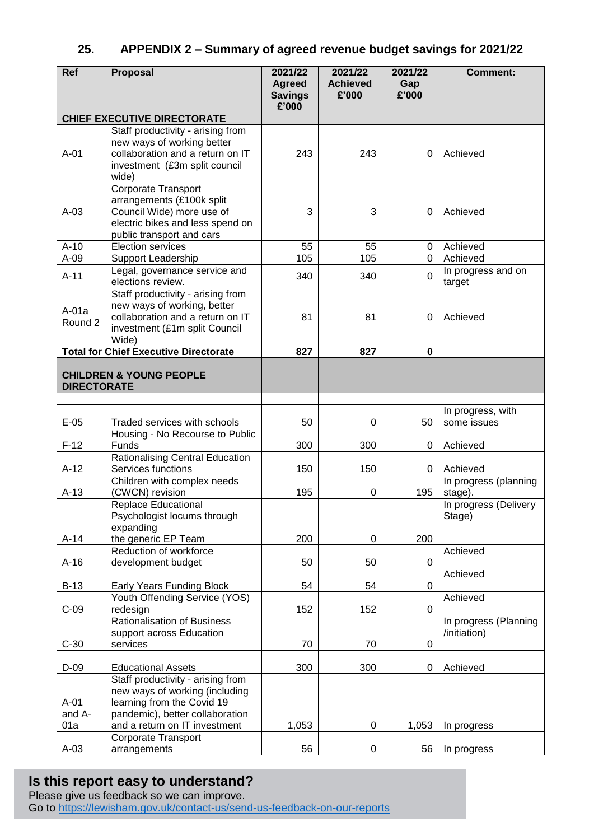## **25. APPENDIX 2 – Summary of agreed revenue budget savings for 2021/22**

| Ref                     | Proposal                                                                                                                                                              | 2021/22<br><b>Agreed</b><br><b>Savings</b><br>£'000 | 2021/22<br><b>Achieved</b><br>£'000 | 2021/22<br>Gap<br>£'000 | <b>Comment:</b>                       |
|-------------------------|-----------------------------------------------------------------------------------------------------------------------------------------------------------------------|-----------------------------------------------------|-------------------------------------|-------------------------|---------------------------------------|
|                         | <b>CHIEF EXECUTIVE DIRECTORATE</b>                                                                                                                                    |                                                     |                                     |                         |                                       |
| $A-01$                  | Staff productivity - arising from<br>new ways of working better<br>collaboration and a return on IT<br>investment (£3m split council<br>wide)                         | 243                                                 | 243                                 | $\Omega$                | Achieved                              |
| $A-03$                  | <b>Corporate Transport</b><br>arrangements (£100k split<br>Council Wide) more use of<br>electric bikes and less spend on<br>public transport and cars                 | 3                                                   | 3                                   | $\Omega$                | Achieved                              |
| $A-10$                  | <b>Election services</b>                                                                                                                                              | 55                                                  | 55                                  | 0                       | Achieved                              |
| $A-09$                  | Support Leadership                                                                                                                                                    | 105                                                 | 105                                 | $\mathbf 0$             | Achieved                              |
| $A-11$                  | Legal, governance service and<br>elections review.                                                                                                                    | 340                                                 | 340                                 | $\overline{0}$          | In progress and on<br>target          |
| $A-01a$<br>Round 2      | Staff productivity - arising from<br>new ways of working, better<br>collaboration and a return on IT<br>investment (£1m split Council<br>Wide)                        | 81                                                  | 81                                  | $\Omega$                | Achieved                              |
|                         | <b>Total for Chief Executive Directorate</b>                                                                                                                          | 827                                                 | 827                                 | 0                       |                                       |
| <b>DIRECTORATE</b>      | <b>CHILDREN &amp; YOUNG PEOPLE</b>                                                                                                                                    |                                                     |                                     |                         |                                       |
| $E-05$                  | Traded services with schools                                                                                                                                          | 50                                                  | 0                                   | 50                      | In progress, with<br>some issues      |
| $F-12$                  | Housing - No Recourse to Public<br>Funds                                                                                                                              | 300                                                 | 300                                 | 0                       |                                       |
| $A-12$                  | <b>Rationalising Central Education</b><br>Services functions                                                                                                          | 150                                                 | 150                                 | 0                       | Achieved<br>Achieved                  |
| $A-13$                  | Children with complex needs<br>(CWCN) revision                                                                                                                        | 195                                                 | 0                                   | 195                     | In progress (planning<br>stage).      |
|                         | <b>Replace Educational</b><br>Psychologist locums through<br>expanding                                                                                                |                                                     |                                     |                         | In progress (Delivery<br>Stage)       |
| $A-14$                  | the generic EP Team<br>Reduction of workforce                                                                                                                         | 200                                                 | $\boldsymbol{0}$                    | 200                     | Achieved                              |
| $A-16$                  | development budget                                                                                                                                                    | 50                                                  | 50                                  | 0                       |                                       |
| $B-13$                  | <b>Early Years Funding Block</b>                                                                                                                                      | 54                                                  | 54                                  | 0                       | Achieved                              |
| $C-09$                  | Youth Offending Service (YOS)<br>redesign                                                                                                                             | 152                                                 | 152                                 | 0                       | Achieved                              |
| $C-30$                  | <b>Rationalisation of Business</b><br>support across Education<br>services                                                                                            | 70                                                  | 70                                  | 0                       | In progress (Planning<br>/initiation) |
| $D-09$                  | <b>Educational Assets</b>                                                                                                                                             | 300                                                 | 300                                 | 0                       | Achieved                              |
| $A-01$<br>and A-<br>01a | Staff productivity - arising from<br>new ways of working (including<br>learning from the Covid 19<br>pandemic), better collaboration<br>and a return on IT investment | 1,053                                               | 0                                   | 1,053                   | In progress                           |
|                         | Corporate Transport                                                                                                                                                   |                                                     |                                     |                         |                                       |
| $A-03$                  | arrangements                                                                                                                                                          | 56                                                  | 0                                   | 56                      | In progress                           |

# **Is this report easy to understand?**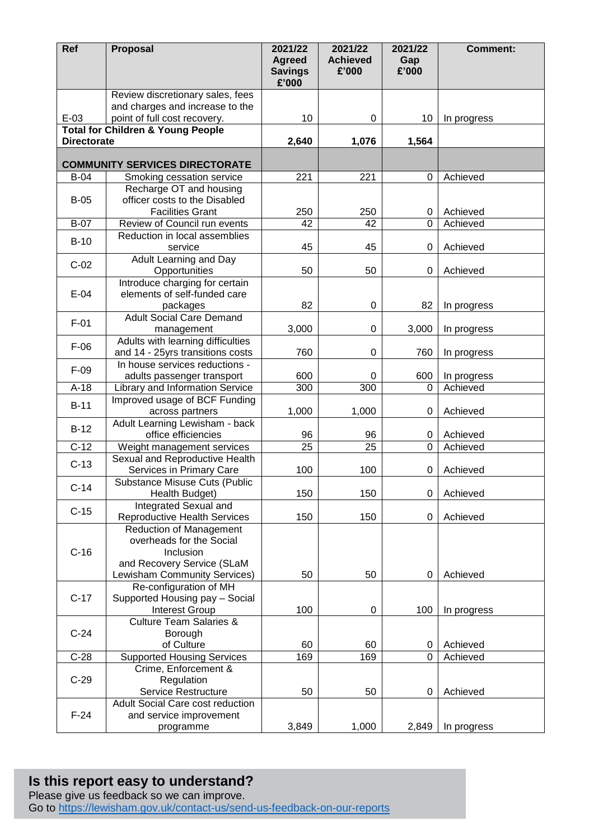| Ref                | Proposal                                                | 2021/22<br><b>Agreed</b> | 2021/22<br><b>Achieved</b> | 2021/22<br>Gap | <b>Comment:</b>      |
|--------------------|---------------------------------------------------------|--------------------------|----------------------------|----------------|----------------------|
|                    |                                                         | <b>Savings</b><br>£'000  | £'000                      | £'000          |                      |
|                    | Review discretionary sales, fees                        |                          |                            |                |                      |
|                    | and charges and increase to the                         |                          |                            |                |                      |
| $E-03$             | point of full cost recovery.                            | 10                       | 0                          | 10             | In progress          |
| <b>Directorate</b> | <b>Total for Children &amp; Young People</b>            | 2,640                    | 1,076                      | 1,564          |                      |
|                    |                                                         |                          |                            |                |                      |
|                    | <b>COMMUNITY SERVICES DIRECTORATE</b>                   |                          |                            |                |                      |
| $B-04$             | Smoking cessation service                               | 221                      | 221                        | $\Omega$       | Achieved             |
|                    | Recharge OT and housing                                 |                          |                            |                |                      |
| $B-05$             | officer costs to the Disabled                           |                          |                            |                |                      |
| <b>B-07</b>        | <b>Facilities Grant</b><br>Review of Council run events | 250<br>42                | 250<br>42                  | 0<br>$\Omega$  | Achieved<br>Achieved |
|                    | Reduction in local assemblies                           |                          |                            |                |                      |
| $B-10$             | service                                                 | 45                       | 45                         | 0              | Achieved             |
|                    | Adult Learning and Day                                  |                          |                            |                |                      |
| $C-02$             | Opportunities                                           | 50                       | 50                         | 0              | Achieved             |
|                    | Introduce charging for certain                          |                          |                            |                |                      |
| $E-04$             | elements of self-funded care                            |                          |                            |                |                      |
|                    | packages<br><b>Adult Social Care Demand</b>             | 82                       | $\boldsymbol{0}$           | 82             | In progress          |
| $F-01$             | management                                              | 3,000                    | $\mathbf 0$                | 3,000          | In progress          |
|                    | Adults with learning difficulties                       |                          |                            |                |                      |
| $F-06$             | and 14 - 25yrs transitions costs                        | 760                      | $\mathbf 0$                | 760            | In progress          |
| $F-09$             | In house services reductions -                          |                          |                            |                |                      |
|                    | adults passenger transport                              | 600                      | 0                          | 600            | In progress          |
| $A-18$             | Library and Information Service                         | 300                      | 300                        | 0              | Achieved             |
| $B-11$             | Improved usage of BCF Funding                           |                          |                            |                |                      |
|                    | across partners<br>Adult Learning Lewisham - back       | 1,000                    | 1,000                      | 0              | Achieved             |
| $B-12$             | office efficiencies                                     | 96                       | 96                         | 0              | Achieved             |
| $C-12$             | Weight management services                              | 25                       | 25                         | 0              | Achieved             |
| $C-13$             | Sexual and Reproductive Health                          |                          |                            |                |                      |
|                    | Services in Primary Care                                | 100                      | 100                        | 0              | Achieved             |
| $C-14$             | Substance Misuse Cuts (Public                           |                          |                            |                |                      |
|                    | Health Budget)<br>Integrated Sexual and                 | 150                      | 150                        | 0              | Achieved             |
| $C-15$             | <b>Reproductive Health Services</b>                     | 150                      | 150                        | 0              | Achieved             |
|                    | <b>Reduction of Management</b>                          |                          |                            |                |                      |
|                    | overheads for the Social                                |                          |                            |                |                      |
| $C-16$             | Inclusion                                               |                          |                            |                |                      |
|                    | and Recovery Service (SLaM                              |                          |                            |                |                      |
|                    | Lewisham Community Services)<br>Re-configuration of MH  | 50                       | 50                         | 0              | Achieved             |
| $C-17$             | Supported Housing pay - Social                          |                          |                            |                |                      |
|                    | <b>Interest Group</b>                                   | 100                      | $\boldsymbol{0}$           | 100            | In progress          |
|                    | <b>Culture Team Salaries &amp;</b>                      |                          |                            |                |                      |
| $C-24$             | Borough                                                 |                          |                            |                |                      |
|                    | of Culture                                              | 60                       | 60                         | 0              | Achieved             |
| $C-28$             | <b>Supported Housing Services</b>                       | 169                      | 169                        | 0              | Achieved             |
| $C-29$             | Crime, Enforcement &<br>Regulation                      |                          |                            |                |                      |
|                    | Service Restructure                                     | 50                       | 50                         | 0              | Achieved             |
|                    | Adult Social Care cost reduction                        |                          |                            |                |                      |
| $F-24$             | and service improvement                                 |                          |                            |                |                      |
|                    | programme                                               | 3,849                    | 1,000                      | 2,849          | In progress          |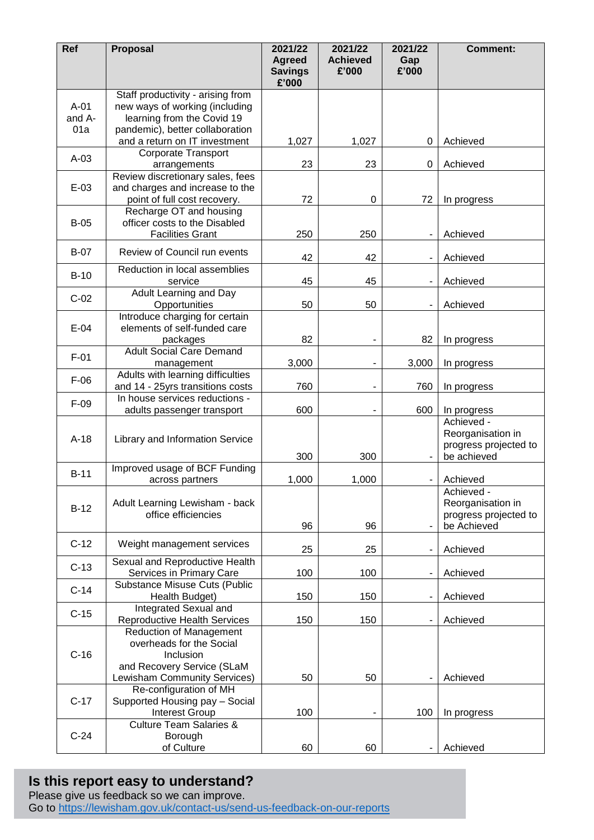| Ref                     | Proposal                                                                                                                             | 2021/22<br><b>Agreed</b><br><b>Savings</b><br>£'000 | 2021/22<br><b>Achieved</b><br>£'000 | 2021/22<br>Gap<br>£'000  | <b>Comment:</b>                                                         |
|-------------------------|--------------------------------------------------------------------------------------------------------------------------------------|-----------------------------------------------------|-------------------------------------|--------------------------|-------------------------------------------------------------------------|
| $A-01$<br>and A-<br>01a | Staff productivity - arising from<br>new ways of working (including<br>learning from the Covid 19<br>pandemic), better collaboration |                                                     |                                     |                          |                                                                         |
|                         | and a return on IT investment                                                                                                        | 1,027                                               | 1,027                               | 0                        | Achieved                                                                |
| $A-03$                  | <b>Corporate Transport</b><br>arrangements                                                                                           | 23                                                  | 23                                  | 0                        | Achieved                                                                |
| $E-03$                  | Review discretionary sales, fees<br>and charges and increase to the<br>point of full cost recovery.                                  | 72                                                  | $\mathbf 0$                         | 72                       | In progress                                                             |
| $B-05$                  | Recharge OT and housing<br>officer costs to the Disabled<br><b>Facilities Grant</b>                                                  | 250                                                 | 250                                 |                          | Achieved                                                                |
| <b>B-07</b>             | Review of Council run events                                                                                                         | 42                                                  | 42                                  |                          | Achieved                                                                |
| $B-10$                  | Reduction in local assemblies<br>service                                                                                             | 45                                                  | 45                                  |                          | Achieved                                                                |
| $C-02$                  | Adult Learning and Day<br>Opportunities                                                                                              | 50                                                  | 50                                  |                          | Achieved                                                                |
| $E-04$                  | Introduce charging for certain<br>elements of self-funded care<br>packages                                                           | 82                                                  | $\overline{a}$                      | 82                       | In progress                                                             |
| $F-01$                  | <b>Adult Social Care Demand</b><br>management                                                                                        | 3,000                                               |                                     | 3,000                    | In progress                                                             |
| $F-06$                  | Adults with learning difficulties<br>and 14 - 25yrs transitions costs                                                                | 760                                                 |                                     | 760                      | In progress                                                             |
| $F-09$                  | In house services reductions -<br>adults passenger transport                                                                         | 600                                                 |                                     | 600                      | In progress                                                             |
| $A-18$                  | Library and Information Service                                                                                                      | 300                                                 | 300                                 | $\overline{\phantom{a}}$ | Achieved -<br>Reorganisation in<br>progress projected to<br>be achieved |
| $B-11$                  | Improved usage of BCF Funding<br>across partners                                                                                     | 1,000                                               | 1,000                               | $\overline{\phantom{a}}$ | Achieved                                                                |
| $B-12$                  | Adult Learning Lewisham - back<br>office efficiencies                                                                                | 96                                                  | 96                                  |                          | Achieved -<br>Reorganisation in<br>progress projected to<br>be Achieved |
| $C-12$                  | Weight management services                                                                                                           | 25                                                  | 25                                  | $\overline{\phantom{a}}$ | Achieved                                                                |
| $C-13$                  | Sexual and Reproductive Health<br>Services in Primary Care                                                                           | 100                                                 | 100                                 |                          | Achieved                                                                |
| $C-14$                  | Substance Misuse Cuts (Public<br>Health Budget)                                                                                      | 150                                                 | 150                                 |                          | Achieved                                                                |
| $C-15$                  | Integrated Sexual and<br><b>Reproductive Health Services</b>                                                                         | 150                                                 | 150                                 |                          | Achieved                                                                |
| $C-16$                  | <b>Reduction of Management</b><br>overheads for the Social<br>Inclusion<br>and Recovery Service (SLaM                                |                                                     |                                     |                          |                                                                         |
| $C-17$                  | Lewisham Community Services)<br>Re-configuration of MH<br>Supported Housing pay - Social<br>Interest Group                           | 50<br>100                                           | 50<br>$\overline{\phantom{a}}$      | 100                      | Achieved<br>In progress                                                 |
| $C-24$                  | <b>Culture Team Salaries &amp;</b><br>Borough<br>of Culture                                                                          | 60                                                  | 60                                  |                          | Achieved                                                                |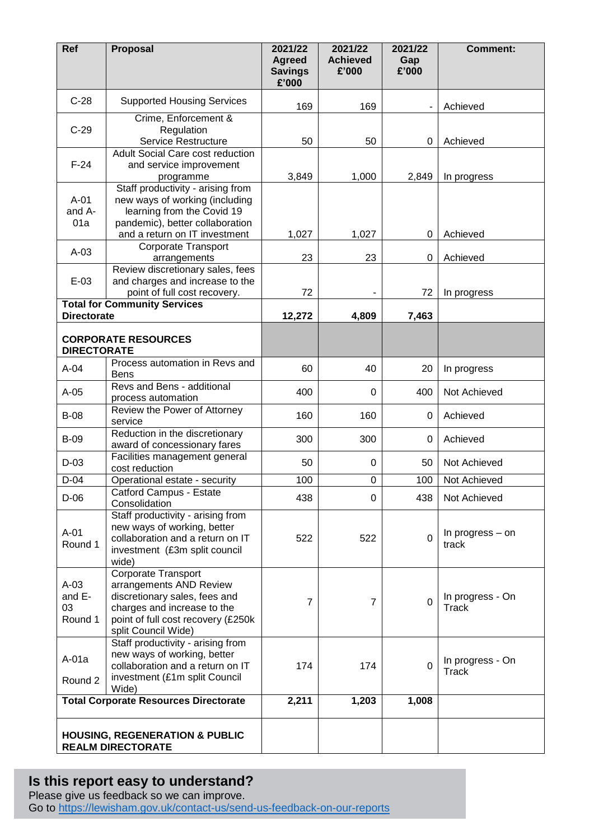| Ref                               | Proposal                                                                                                                                                                    | 2021/22<br><b>Agreed</b><br><b>Savings</b><br>£'000 | 2021/22<br><b>Achieved</b><br>£'000 | 2021/22<br>Gap<br>£'000 | <b>Comment:</b>                  |
|-----------------------------------|-----------------------------------------------------------------------------------------------------------------------------------------------------------------------------|-----------------------------------------------------|-------------------------------------|-------------------------|----------------------------------|
| $C-28$                            | <b>Supported Housing Services</b>                                                                                                                                           | 169                                                 | 169                                 |                         | Achieved                         |
|                                   | Crime, Enforcement &                                                                                                                                                        |                                                     |                                     |                         |                                  |
| $C-29$                            | Regulation<br>Service Restructure                                                                                                                                           | 50                                                  | 50                                  | 0                       | Achieved                         |
|                                   | <b>Adult Social Care cost reduction</b>                                                                                                                                     |                                                     |                                     |                         |                                  |
| $F-24$                            | and service improvement<br>programme                                                                                                                                        | 3,849                                               | 1,000                               | 2,849                   | In progress                      |
| $A-01$<br>and A-<br>01a           | Staff productivity - arising from<br>new ways of working (including<br>learning from the Covid 19<br>pandemic), better collaboration<br>and a return on IT investment       | 1,027                                               | 1,027                               | 0                       | Achieved                         |
| $A-03$                            | <b>Corporate Transport</b><br>arrangements                                                                                                                                  | 23                                                  | 23                                  | 0                       | Achieved                         |
|                                   | Review discretionary sales, fees                                                                                                                                            |                                                     |                                     |                         |                                  |
| $E-03$                            | and charges and increase to the<br>point of full cost recovery.                                                                                                             | 72                                                  |                                     | 72                      | In progress                      |
|                                   | <b>Total for Community Services</b>                                                                                                                                         |                                                     |                                     |                         |                                  |
| <b>Directorate</b>                |                                                                                                                                                                             | 12,272                                              | 4,809                               | 7,463                   |                                  |
| <b>DIRECTORATE</b>                | <b>CORPORATE RESOURCES</b>                                                                                                                                                  |                                                     |                                     |                         |                                  |
| $A-04$                            | Process automation in Revs and<br><b>Bens</b>                                                                                                                               | 60                                                  | 40                                  | 20                      | In progress                      |
| $A-05$                            | Revs and Bens - additional<br>process automation                                                                                                                            | 400                                                 | 0                                   | 400                     | Not Achieved                     |
| <b>B-08</b>                       | Review the Power of Attorney<br>service                                                                                                                                     | 160                                                 | 160                                 | 0                       | Achieved                         |
| <b>B-09</b>                       | Reduction in the discretionary<br>award of concessionary fares                                                                                                              | 300                                                 | 300                                 | 0                       | Achieved                         |
| $D-03$                            | Facilities management general<br>cost reduction                                                                                                                             | 50                                                  | 0                                   | 50                      | Not Achieved                     |
| $D-04$                            | Operational estate - security                                                                                                                                               | 100                                                 | $\mathbf 0$                         | 100                     | Not Achieved                     |
| $D-06$                            | Catford Campus - Estate<br>Consolidation                                                                                                                                    | 438                                                 | 0                                   | 438                     | Not Achieved                     |
| $A-01$<br>Round 1                 | Staff productivity - arising from<br>new ways of working, better<br>collaboration and a return on IT<br>investment (£3m split council<br>wide)                              | 522                                                 | 522                                 | $\overline{0}$          | In progress – on<br>track        |
| $A-03$<br>and E-<br>03<br>Round 1 | Corporate Transport<br>arrangements AND Review<br>discretionary sales, fees and<br>charges and increase to the<br>point of full cost recovery (£250k<br>split Council Wide) | $\overline{7}$                                      | 7                                   | $\mathbf 0$             | In progress - On<br><b>Track</b> |
| A-01a<br>Round 2                  | Staff productivity - arising from<br>new ways of working, better<br>collaboration and a return on IT<br>investment (£1m split Council<br>Wide)                              | 174                                                 | 174                                 | $\overline{0}$          | In progress - On<br>Track        |
|                                   | <b>Total Corporate Resources Directorate</b>                                                                                                                                | 2,211                                               | 1,203                               | 1,008                   |                                  |
|                                   | <b>HOUSING, REGENERATION &amp; PUBLIC</b><br><b>REALM DIRECTORATE</b>                                                                                                       |                                                     |                                     |                         |                                  |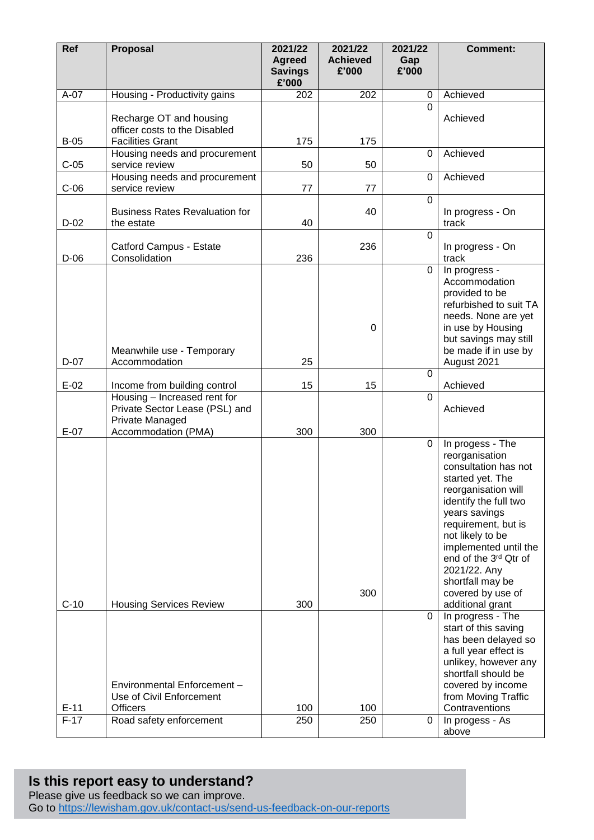| Ref    | <b>Proposal</b>                                                                                                   | 2021/22<br><b>Agreed</b><br><b>Savings</b> | 2021/22<br><b>Achieved</b><br>£'000 | 2021/22<br>Gap<br>£'000 | <b>Comment:</b>                                                                                                                                                                                                                                                                                                           |
|--------|-------------------------------------------------------------------------------------------------------------------|--------------------------------------------|-------------------------------------|-------------------------|---------------------------------------------------------------------------------------------------------------------------------------------------------------------------------------------------------------------------------------------------------------------------------------------------------------------------|
|        |                                                                                                                   | £'000                                      |                                     |                         |                                                                                                                                                                                                                                                                                                                           |
| $A-07$ | Housing - Productivity gains                                                                                      | 202                                        | 202                                 | $\mathbf 0$<br>U        | Achieved                                                                                                                                                                                                                                                                                                                  |
|        | Recharge OT and housing<br>officer costs to the Disabled                                                          |                                            |                                     |                         | Achieved                                                                                                                                                                                                                                                                                                                  |
| $B-05$ | <b>Facilities Grant</b><br>Housing needs and procurement                                                          | 175                                        | 175                                 | $\Omega$                | Achieved                                                                                                                                                                                                                                                                                                                  |
| $C-05$ | service review                                                                                                    | 50                                         | 50                                  |                         |                                                                                                                                                                                                                                                                                                                           |
| $C-06$ | Housing needs and procurement<br>service review                                                                   | 77                                         | 77                                  | $\mathbf 0$             | Achieved                                                                                                                                                                                                                                                                                                                  |
|        |                                                                                                                   |                                            |                                     | $\Omega$                |                                                                                                                                                                                                                                                                                                                           |
| $D-02$ | <b>Business Rates Revaluation for</b><br>the estate                                                               | 40                                         | 40                                  |                         | In progress - On<br>track                                                                                                                                                                                                                                                                                                 |
| $D-06$ | Catford Campus - Estate<br>Consolidation                                                                          | 236                                        | 236                                 | $\overline{0}$          | In progress - On<br>track                                                                                                                                                                                                                                                                                                 |
| $D-07$ | Meanwhile use - Temporary<br>Accommodation                                                                        | 25                                         | 0                                   | $\overline{0}$          | In progress -<br>Accommodation<br>provided to be<br>refurbished to suit TA<br>needs. None are yet<br>in use by Housing<br>but savings may still<br>be made if in use by<br>August 2021                                                                                                                                    |
| $E-02$ |                                                                                                                   | 15                                         | 15                                  | $\Omega$                | Achieved                                                                                                                                                                                                                                                                                                                  |
|        | Income from building control<br>Housing - Increased rent for<br>Private Sector Lease (PSL) and<br>Private Managed |                                            |                                     | $\Omega$                | Achieved                                                                                                                                                                                                                                                                                                                  |
| $E-07$ | Accommodation (PMA)                                                                                               | 300                                        | 300                                 |                         |                                                                                                                                                                                                                                                                                                                           |
| $C-10$ | <b>Housing Services Review</b>                                                                                    | 300                                        | 300                                 | 0                       | In progess - The<br>reorganisation<br>consultation has not<br>started yet. The<br>reorganisation will<br>identify the full two<br>years savings<br>requirement, but is<br>not likely to be<br>implemented until the<br>end of the 3rd Qtr of<br>2021/22. Any<br>shortfall may be<br>covered by use of<br>additional grant |
|        |                                                                                                                   |                                            |                                     | $\mathbf 0$             | In progress - The                                                                                                                                                                                                                                                                                                         |
| $E-11$ | Environmental Enforcement -<br>Use of Civil Enforcement<br><b>Officers</b>                                        | 100                                        | 100                                 |                         | start of this saving<br>has been delayed so<br>a full year effect is<br>unlikey, however any<br>shortfall should be<br>covered by income<br>from Moving Traffic<br>Contraventions                                                                                                                                         |
| $F-17$ | Road safety enforcement                                                                                           | 250                                        | 250                                 | 0                       | In progess - As                                                                                                                                                                                                                                                                                                           |
|        |                                                                                                                   |                                            |                                     |                         | above                                                                                                                                                                                                                                                                                                                     |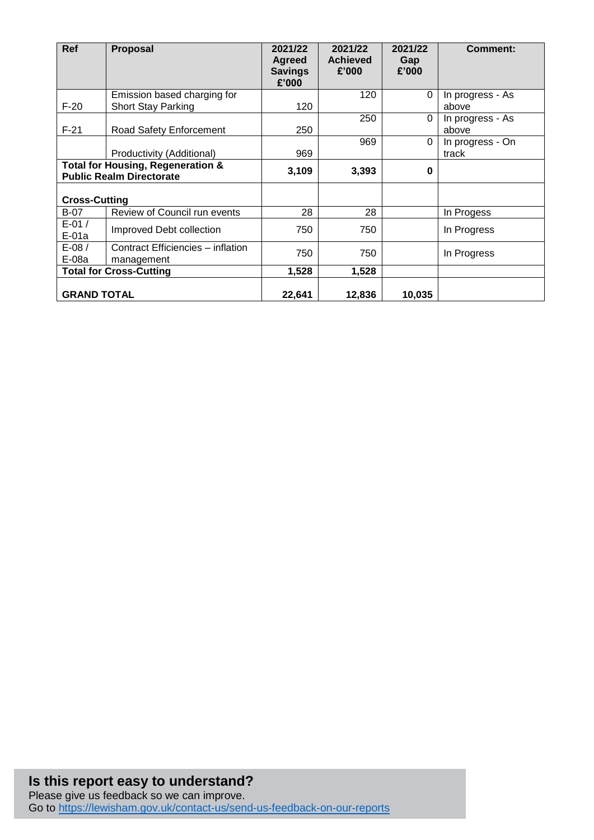| Ref                                          | <b>Proposal</b>                   | 2021/22                         | 2021/22                  | 2021/22      | <b>Comment:</b>  |
|----------------------------------------------|-----------------------------------|---------------------------------|--------------------------|--------------|------------------|
|                                              |                                   | <b>Agreed</b><br><b>Savings</b> | <b>Achieved</b><br>£'000 | Gap<br>£'000 |                  |
|                                              |                                   | £'000                           |                          |              |                  |
|                                              | Emission based charging for       |                                 | 120                      | 0            | In progress - As |
| $F-20$                                       | Short Stay Parking                | 120                             |                          |              | above            |
|                                              |                                   |                                 | 250                      | $\Omega$     | In progress - As |
| $F-21$                                       | Road Safety Enforcement           | 250                             |                          |              | above            |
|                                              |                                   |                                 | 969                      | $\Omega$     | In progress - On |
|                                              | Productivity (Additional)         | 969                             |                          |              | track            |
| <b>Total for Housing, Regeneration &amp;</b> |                                   | 3,109                           | 3,393                    | $\bf{0}$     |                  |
|                                              | <b>Public Realm Directorate</b>   |                                 |                          |              |                  |
|                                              |                                   |                                 |                          |              |                  |
| <b>Cross-Cutting</b>                         |                                   |                                 |                          |              |                  |
| <b>B-07</b>                                  | Review of Council run events      | 28                              | 28                       |              | In Progess       |
| $E-01/$                                      | Improved Debt collection          | 750                             | 750                      |              | In Progress      |
| E-01a                                        |                                   |                                 |                          |              |                  |
| $E-08/$                                      | Contract Efficiencies - inflation | 750                             | 750                      |              |                  |
| E-08a                                        | management                        |                                 |                          |              | In Progress      |
| <b>Total for Cross-Cutting</b>               |                                   | 1,528                           | 1,528                    |              |                  |
|                                              |                                   |                                 |                          |              |                  |
| <b>GRAND TOTAL</b>                           |                                   | 22,641                          | 12,836                   | 10,035       |                  |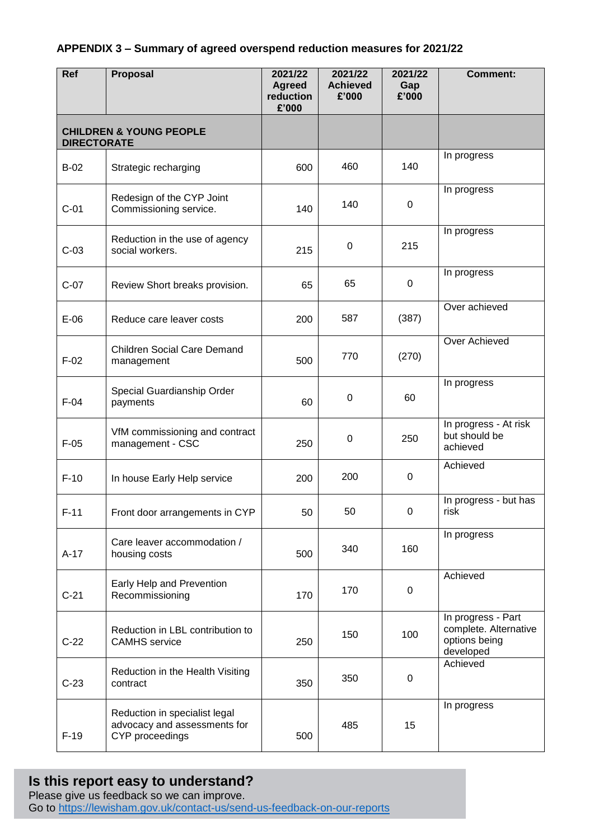#### **APPENDIX 3 – Summary of agreed overspend reduction measures for 2021/22**

| Ref                | Proposal                                                                         | 2021/22<br><b>Agreed</b><br>reduction<br>£'000 | 2021/22<br><b>Achieved</b><br>£'000 | 2021/22<br>Gap<br>£'000 | <b>Comment:</b>                                                           |
|--------------------|----------------------------------------------------------------------------------|------------------------------------------------|-------------------------------------|-------------------------|---------------------------------------------------------------------------|
| <b>DIRECTORATE</b> | <b>CHILDREN &amp; YOUNG PEOPLE</b>                                               |                                                |                                     |                         |                                                                           |
| $B-02$             | Strategic recharging                                                             | 600                                            | 460                                 | 140                     | In progress                                                               |
| $C-01$             | Redesign of the CYP Joint<br>Commissioning service.                              | 140                                            | 140                                 | $\mathbf 0$             | In progress                                                               |
| $C-03$             | Reduction in the use of agency<br>social workers.                                | 215                                            | 0                                   | 215                     | In progress                                                               |
| $C-07$             | Review Short breaks provision.                                                   | 65                                             | 65                                  | $\boldsymbol{0}$        | In progress                                                               |
| $E-06$             | Reduce care leaver costs                                                         | 200                                            | 587                                 | (387)                   | Over achieved                                                             |
| $F-02$             | <b>Children Social Care Demand</b><br>management                                 | 500                                            | 770                                 | (270)                   | Over Achieved                                                             |
| $F-04$             | Special Guardianship Order<br>payments                                           | 60                                             | $\pmb{0}$                           | 60                      | In progress                                                               |
| $F-05$             | VfM commissioning and contract<br>management - CSC                               | 250                                            | $\pmb{0}$                           | 250                     | In progress - At risk<br>but should be<br>achieved                        |
| $F-10$             | In house Early Help service                                                      | 200                                            | 200                                 | $\mathbf 0$             | Achieved                                                                  |
| $F-11$             | Front door arrangements in CYP                                                   | 50                                             | 50                                  | 0                       | In progress - but has<br>risk                                             |
| $A-17$             | Care leaver accommodation /<br>housing costs                                     | 500                                            | 340                                 | 160                     | In progress                                                               |
| $C-21$             | Early Help and Prevention<br>Recommissioning                                     | 170                                            | 170                                 | $\mathbf 0$             | Achieved                                                                  |
| $C-22$             | Reduction in LBL contribution to<br><b>CAMHS</b> service                         | 250                                            | 150                                 | 100                     | In progress - Part<br>complete. Alternative<br>options being<br>developed |
| $C-23$             | Reduction in the Health Visiting<br>contract                                     | 350                                            | 350                                 | $\mathbf 0$             | Achieved                                                                  |
| $F-19$             | Reduction in specialist legal<br>advocacy and assessments for<br>CYP proceedings | 500                                            | 485                                 | 15                      | In progress                                                               |

# **Is this report easy to understand?**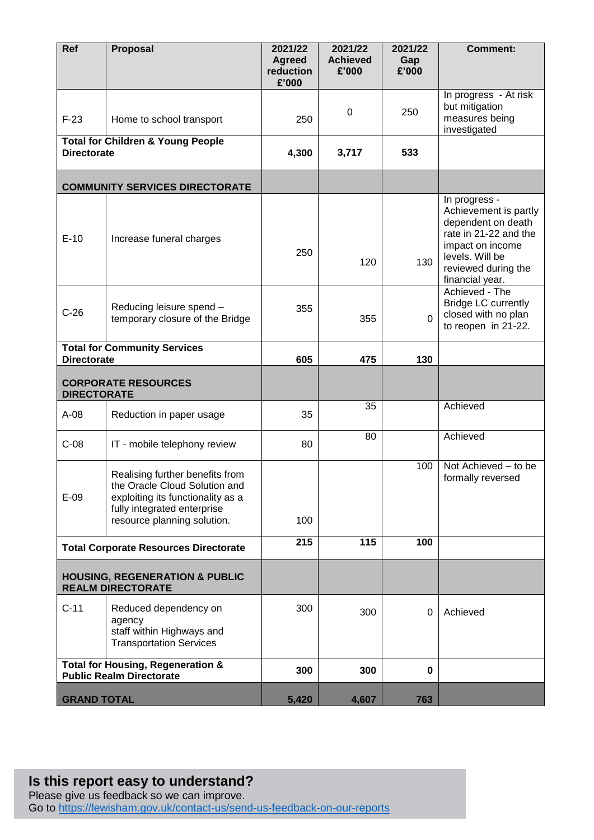| Ref                | Proposal                                                                                                                                                            | 2021/22<br><b>Agreed</b><br>reduction<br>£'000 | 2021/22<br><b>Achieved</b><br>£'000 | 2021/22<br>Gap<br>£'000 | <b>Comment:</b>                                                                                                                                                        |
|--------------------|---------------------------------------------------------------------------------------------------------------------------------------------------------------------|------------------------------------------------|-------------------------------------|-------------------------|------------------------------------------------------------------------------------------------------------------------------------------------------------------------|
| $F-23$             | Home to school transport                                                                                                                                            | 250                                            | 0                                   | 250                     | In progress - At risk<br>but mitigation<br>measures being<br>investigated                                                                                              |
| <b>Directorate</b> | <b>Total for Children &amp; Young People</b>                                                                                                                        | 4,300                                          | 3,717                               | 533                     |                                                                                                                                                                        |
|                    | <b>COMMUNITY SERVICES DIRECTORATE</b>                                                                                                                               |                                                |                                     |                         |                                                                                                                                                                        |
| $E-10$             | Increase funeral charges                                                                                                                                            | 250                                            | 120                                 | 130                     | In progress -<br>Achievement is partly<br>dependent on death<br>rate in 21-22 and the<br>impact on income<br>levels. Will be<br>reviewed during the<br>financial year. |
| $C-26$             | Reducing leisure spend -<br>temporary closure of the Bridge                                                                                                         | 355                                            | 355                                 | $\Omega$                | Achieved - The<br><b>Bridge LC currently</b><br>closed with no plan<br>to reopen in 21-22.                                                                             |
| <b>Directorate</b> | <b>Total for Community Services</b>                                                                                                                                 | 605                                            | 475                                 | 130                     |                                                                                                                                                                        |
| <b>DIRECTORATE</b> | <b>CORPORATE RESOURCES</b>                                                                                                                                          |                                                |                                     |                         |                                                                                                                                                                        |
| $A-08$             | Reduction in paper usage                                                                                                                                            | 35                                             | 35                                  |                         | Achieved                                                                                                                                                               |
| $C-08$             | IT - mobile telephony review                                                                                                                                        | 80                                             | 80                                  |                         | Achieved                                                                                                                                                               |
| $E-09$             | Realising further benefits from<br>the Oracle Cloud Solution and<br>exploiting its functionality as a<br>fully integrated enterprise<br>resource planning solution. | 100                                            |                                     | 100                     | Not Achieved - to be<br>formally reversed                                                                                                                              |
|                    | <b>Total Corporate Resources Directorate</b>                                                                                                                        | 215                                            | 115                                 | 100                     |                                                                                                                                                                        |
|                    | <b>HOUSING, REGENERATION &amp; PUBLIC</b><br><b>REALM DIRECTORATE</b>                                                                                               |                                                |                                     |                         |                                                                                                                                                                        |
| $C-11$             | Reduced dependency on<br>agency<br>staff within Highways and<br><b>Transportation Services</b>                                                                      | 300                                            | 300                                 | 0                       | Achieved                                                                                                                                                               |
|                    | <b>Total for Housing, Regeneration &amp;</b><br><b>Public Realm Directorate</b>                                                                                     | 300                                            | 300                                 | 0                       |                                                                                                                                                                        |
| <b>GRAND TOTAL</b> |                                                                                                                                                                     | 5,420                                          | 4,607                               | 763                     |                                                                                                                                                                        |

#### **Is this report easy to understand?** Please give us feedback so we can improve.

Go to<https://lewisham.gov.uk/contact-us/send-us-feedback-on-our-reports>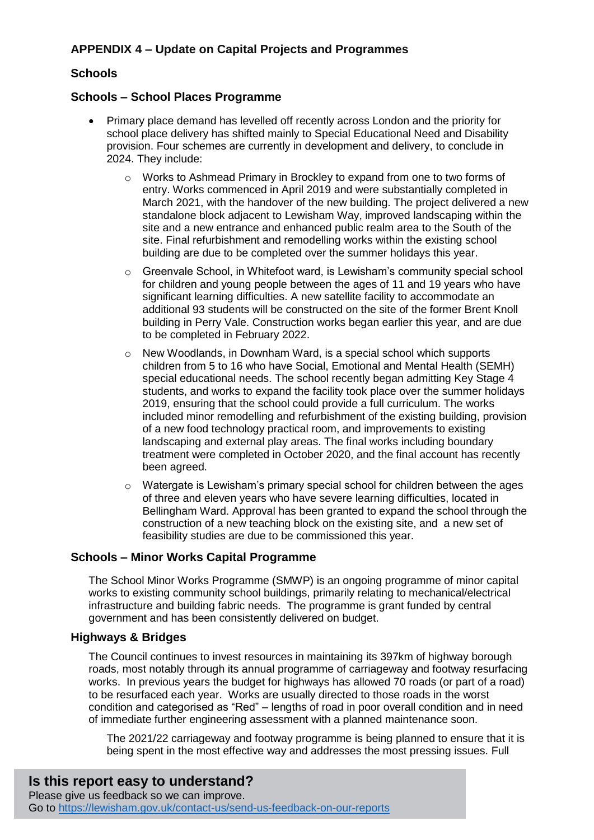## **APPENDIX 4 – Update on Capital Projects and Programmes**

### **Schools**

#### **Schools – School Places Programme**

- Primary place demand has levelled off recently across London and the priority for school place delivery has shifted mainly to Special Educational Need and Disability provision. Four schemes are currently in development and delivery, to conclude in 2024. They include:
	- o Works to Ashmead Primary in Brockley to expand from one to two forms of entry. Works commenced in April 2019 and were substantially completed in March 2021, with the handover of the new building. The project delivered a new standalone block adjacent to Lewisham Way, improved landscaping within the site and a new entrance and enhanced public realm area to the South of the site. Final refurbishment and remodelling works within the existing school building are due to be completed over the summer holidays this year.
	- o Greenvale School, in Whitefoot ward, is Lewisham's community special school for children and young people between the ages of 11 and 19 years who have significant learning difficulties. A new satellite facility to accommodate an additional 93 students will be constructed on the site of the former Brent Knoll building in Perry Vale. Construction works began earlier this year, and are due to be completed in February 2022.
	- $\circ$  New Woodlands, in Downham Ward, is a special school which supports children from 5 to 16 who have Social, Emotional and Mental Health (SEMH) special educational needs. The school recently began admitting Key Stage 4 students, and works to expand the facility took place over the summer holidays 2019, ensuring that the school could provide a full curriculum. The works included minor remodelling and refurbishment of the existing building, provision of a new food technology practical room, and improvements to existing landscaping and external play areas. The final works including boundary treatment were completed in October 2020, and the final account has recently been agreed.
	- o Watergate is Lewisham's primary special school for children between the ages of three and eleven years who have severe learning difficulties, located in Bellingham Ward. Approval has been granted to expand the school through the construction of a new teaching block on the existing site, and a new set of feasibility studies are due to be commissioned this year.

#### **Schools – Minor Works Capital Programme**

The School Minor Works Programme (SMWP) is an ongoing programme of minor capital works to existing community school buildings, primarily relating to mechanical/electrical infrastructure and building fabric needs. The programme is grant funded by central government and has been consistently delivered on budget.

#### **Highways & Bridges**

The Council continues to invest resources in maintaining its 397km of highway borough roads, most notably through its annual programme of carriageway and footway resurfacing works. In previous years the budget for highways has allowed 70 roads (or part of a road) to be resurfaced each year. Works are usually directed to those roads in the worst condition and categorised as "Red" – lengths of road in poor overall condition and in need of immediate further engineering assessment with a planned maintenance soon.

The 2021/22 carriageway and footway programme is being planned to ensure that it is being spent in the most effective way and addresses the most pressing issues. Full

# **Is this report easy to understand?**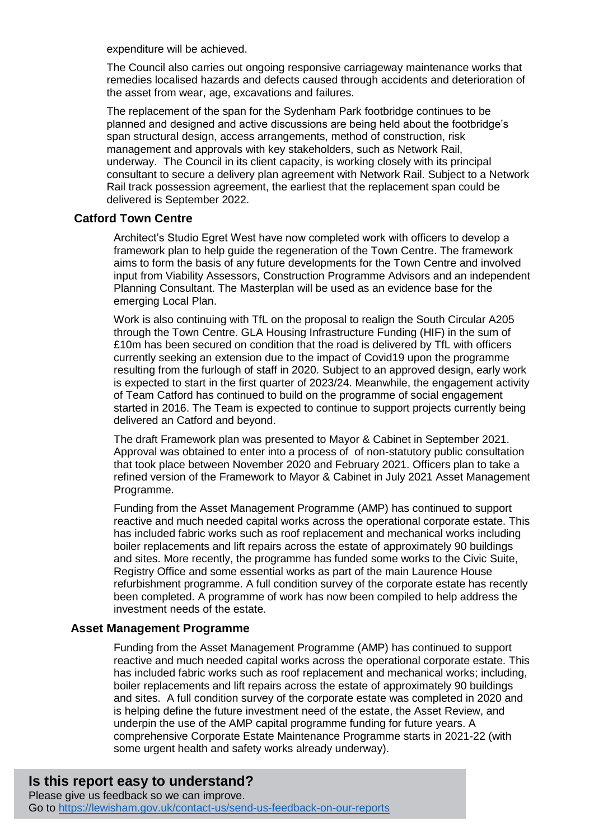expenditure will be achieved.

The Council also carries out ongoing responsive carriageway maintenance works that remedies localised hazards and defects caused through accidents and deterioration of the asset from wear, age, excavations and failures.

The replacement of the span for the Sydenham Park footbridge continues to be planned and designed and active discussions are being held about the footbridge's span structural design, access arrangements, method of construction, risk management and approvals with key stakeholders, such as Network Rail, underway. The Council in its client capacity, is working closely with its principal consultant to secure a delivery plan agreement with Network Rail. Subject to a Network Rail track possession agreement, the earliest that the replacement span could be delivered is September 2022.

#### **Catford Town Centre**

Architect's Studio Egret West have now completed work with officers to develop a framework plan to help guide the regeneration of the Town Centre. The framework aims to form the basis of any future developments for the Town Centre and involved input from Viability Assessors, Construction Programme Advisors and an independent Planning Consultant. The Masterplan will be used as an evidence base for the emerging Local Plan.

Work is also continuing with TfL on the proposal to realign the South Circular A205 through the Town Centre. GLA Housing Infrastructure Funding (HIF) in the sum of £10m has been secured on condition that the road is delivered by TfL with officers currently seeking an extension due to the impact of Covid19 upon the programme resulting from the furlough of staff in 2020. Subject to an approved design, early work is expected to start in the first quarter of 2023/24. Meanwhile, the engagement activity of Team Catford has continued to build on the programme of social engagement started in 2016. The Team is expected to continue to support projects currently being delivered an Catford and beyond.

The draft Framework plan was presented to Mayor & Cabinet in September 2021. Approval was obtained to enter into a process of of non-statutory public consultation that took place between November 2020 and February 2021. Officers plan to take a refined version of the Framework to Mayor & Cabinet in July 2021 Asset Management Programme.

Funding from the Asset Management Programme (AMP) has continued to support reactive and much needed capital works across the operational corporate estate. This has included fabric works such as roof replacement and mechanical works including boiler replacements and lift repairs across the estate of approximately 90 buildings and sites. More recently, the programme has funded some works to the Civic Suite, Registry Office and some essential works as part of the main Laurence House refurbishment programme. A full condition survey of the corporate estate has recently been completed. A programme of work has now been compiled to help address the investment needs of the estate.

#### **Asset Management Programme**

Funding from the Asset Management Programme (AMP) has continued to support reactive and much needed capital works across the operational corporate estate. This has included fabric works such as roof replacement and mechanical works; including, boiler replacements and lift repairs across the estate of approximately 90 buildings and sites. A full condition survey of the corporate estate was completed in 2020 and is helping define the future investment need of the estate, the Asset Review, and underpin the use of the AMP capital programme funding for future years. A comprehensive Corporate Estate Maintenance Programme starts in 2021-22 (with some urgent health and safety works already underway).

# **Is this report easy to understand?**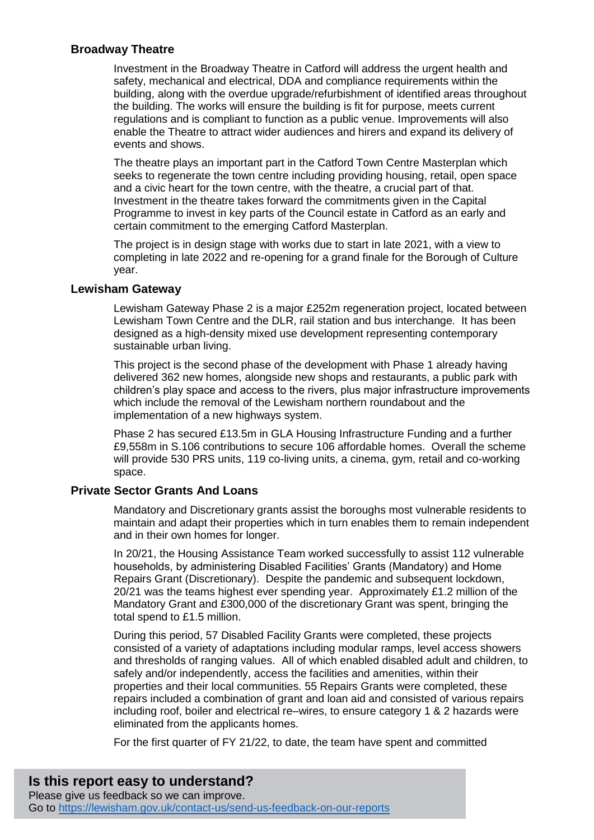#### **Broadway Theatre**

Investment in the Broadway Theatre in Catford will address the urgent health and safety, mechanical and electrical, DDA and compliance requirements within the building, along with the overdue upgrade/refurbishment of identified areas throughout the building. The works will ensure the building is fit for purpose, meets current regulations and is compliant to function as a public venue. Improvements will also enable the Theatre to attract wider audiences and hirers and expand its delivery of events and shows.

The theatre plays an important part in the Catford Town Centre Masterplan which seeks to regenerate the town centre including providing housing, retail, open space and a civic heart for the town centre, with the theatre, a crucial part of that. Investment in the theatre takes forward the commitments given in the Capital Programme to invest in key parts of the Council estate in Catford as an early and certain commitment to the emerging Catford Masterplan.

The project is in design stage with works due to start in late 2021, with a view to completing in late 2022 and re-opening for a grand finale for the Borough of Culture year.

#### **Lewisham Gateway**

Lewisham Gateway Phase 2 is a major £252m regeneration project, located between Lewisham Town Centre and the DLR, rail station and bus interchange. It has been designed as a high-density mixed use development representing contemporary sustainable urban living.

This project is the second phase of the development with Phase 1 already having delivered 362 new homes, alongside new shops and restaurants, a public park with children's play space and access to the rivers, plus major infrastructure improvements which include the removal of the Lewisham northern roundabout and the implementation of a new highways system.

Phase 2 has secured £13.5m in GLA Housing Infrastructure Funding and a further £9,558m in S.106 contributions to secure 106 affordable homes. Overall the scheme will provide 530 PRS units, 119 co-living units, a cinema, gym, retail and co-working space.

#### **Private Sector Grants And Loans**

Mandatory and Discretionary grants assist the boroughs most vulnerable residents to maintain and adapt their properties which in turn enables them to remain independent and in their own homes for longer.

In 20/21, the Housing Assistance Team worked successfully to assist 112 vulnerable households, by administering Disabled Facilities' Grants (Mandatory) and Home Repairs Grant (Discretionary). Despite the pandemic and subsequent lockdown, 20/21 was the teams highest ever spending year. Approximately £1.2 million of the Mandatory Grant and £300,000 of the discretionary Grant was spent, bringing the total spend to £1.5 million.

During this period, 57 Disabled Facility Grants were completed, these projects consisted of a variety of adaptations including modular ramps, level access showers and thresholds of ranging values. All of which enabled disabled adult and children, to safely and/or independently, access the facilities and amenities, within their properties and their local communities. 55 Repairs Grants were completed, these repairs included a combination of grant and loan aid and consisted of various repairs including roof, boiler and electrical re–wires, to ensure category 1 & 2 hazards were eliminated from the applicants homes.

For the first quarter of FY 21/22, to date, the team have spent and committed

**Is this report easy to understand?** Please give us feedback so we can improve. Go to<https://lewisham.gov.uk/contact-us/send-us-feedback-on-our-reports>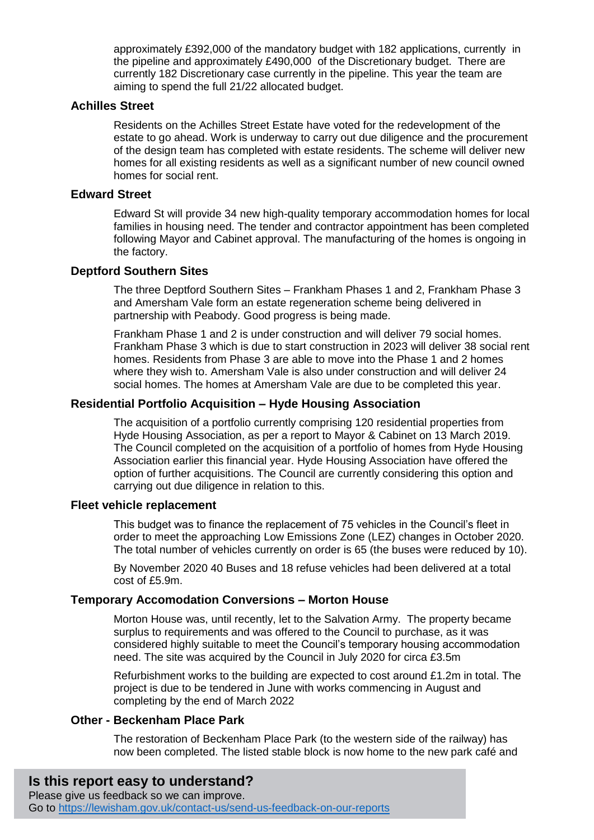approximately £392,000 of the mandatory budget with 182 applications, currently in the pipeline and approximately £490,000 of the Discretionary budget. There are currently 182 Discretionary case currently in the pipeline. This year the team are aiming to spend the full 21/22 allocated budget.

#### **Achilles Street**

Residents on the Achilles Street Estate have voted for the redevelopment of the estate to go ahead. Work is underway to carry out due diligence and the procurement of the design team has completed with estate residents. The scheme will deliver new homes for all existing residents as well as a significant number of new council owned homes for social rent.

#### **Edward Street**

Edward St will provide 34 new high-quality temporary accommodation homes for local families in housing need. The tender and contractor appointment has been completed following Mayor and Cabinet approval. The manufacturing of the homes is ongoing in the factory.

#### **Deptford Southern Sites**

The three Deptford Southern Sites – Frankham Phases 1 and 2, Frankham Phase 3 and Amersham Vale form an estate regeneration scheme being delivered in partnership with Peabody. Good progress is being made.

Frankham Phase 1 and 2 is under construction and will deliver 79 social homes. Frankham Phase 3 which is due to start construction in 2023 will deliver 38 social rent homes. Residents from Phase 3 are able to move into the Phase 1 and 2 homes where they wish to. Amersham Vale is also under construction and will deliver 24 social homes. The homes at Amersham Vale are due to be completed this year.

#### **Residential Portfolio Acquisition – Hyde Housing Association**

The acquisition of a portfolio currently comprising 120 residential properties from Hyde Housing Association, as per a report to Mayor & Cabinet on 13 March 2019. The Council completed on the acquisition of a portfolio of homes from Hyde Housing Association earlier this financial year. Hyde Housing Association have offered the option of further acquisitions. The Council are currently considering this option and carrying out due diligence in relation to this.

### **Fleet vehicle replacement**

This budget was to finance the replacement of 75 vehicles in the Council's fleet in order to meet the approaching Low Emissions Zone (LEZ) changes in October 2020. The total number of vehicles currently on order is 65 (the buses were reduced by 10).

By November 2020 40 Buses and 18 refuse vehicles had been delivered at a total cost of £5.9m.

#### **Temporary Accomodation Conversions – Morton House**

Morton House was, until recently, let to the Salvation Army. The property became surplus to requirements and was offered to the Council to purchase, as it was considered highly suitable to meet the Council's temporary housing accommodation need. The site was acquired by the Council in July 2020 for circa £3.5m

Refurbishment works to the building are expected to cost around £1.2m in total. The project is due to be tendered in June with works commencing in August and completing by the end of March 2022

#### **Other - Beckenham Place Park**

The restoration of Beckenham Place Park (to the western side of the railway) has now been completed. The listed stable block is now home to the new park café and

# **Is this report easy to understand?**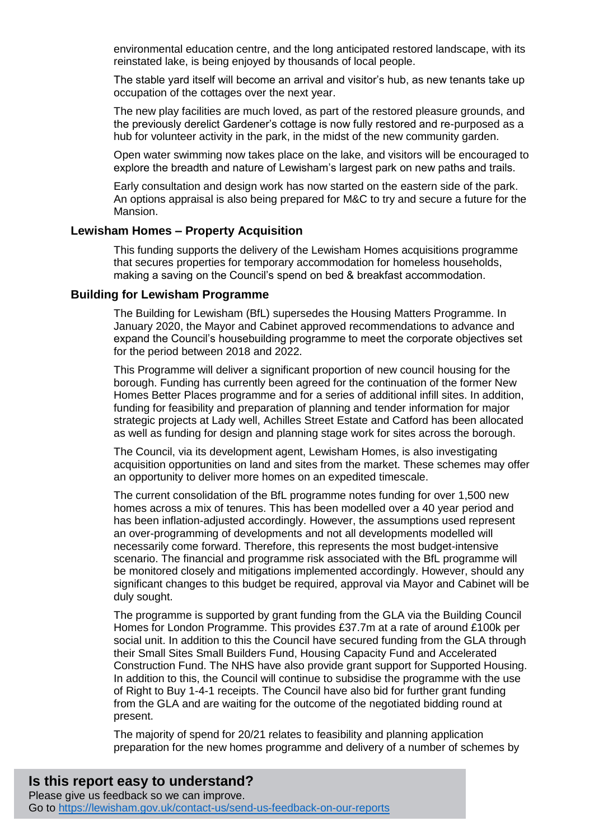environmental education centre, and the long anticipated restored landscape, with its reinstated lake, is being enjoyed by thousands of local people.

The stable yard itself will become an arrival and visitor's hub, as new tenants take up occupation of the cottages over the next year.

The new play facilities are much loved, as part of the restored pleasure grounds, and the previously derelict Gardener's cottage is now fully restored and re-purposed as a hub for volunteer activity in the park, in the midst of the new community garden.

Open water swimming now takes place on the lake, and visitors will be encouraged to explore the breadth and nature of Lewisham's largest park on new paths and trails.

Early consultation and design work has now started on the eastern side of the park. An options appraisal is also being prepared for M&C to try and secure a future for the Mansion.

#### **Lewisham Homes – Property Acquisition**

This funding supports the delivery of the Lewisham Homes acquisitions programme that secures properties for temporary accommodation for homeless households, making a saving on the Council's spend on bed & breakfast accommodation.

#### **Building for Lewisham Programme**

The Building for Lewisham (BfL) supersedes the Housing Matters Programme. In January 2020, the Mayor and Cabinet approved recommendations to advance and expand the Council's housebuilding programme to meet the corporate objectives set for the period between 2018 and 2022.

This Programme will deliver a significant proportion of new council housing for the borough. Funding has currently been agreed for the continuation of the former New Homes Better Places programme and for a series of additional infill sites. In addition, funding for feasibility and preparation of planning and tender information for major strategic projects at Lady well, Achilles Street Estate and Catford has been allocated as well as funding for design and planning stage work for sites across the borough.

The Council, via its development agent, Lewisham Homes, is also investigating acquisition opportunities on land and sites from the market. These schemes may offer an opportunity to deliver more homes on an expedited timescale.

The current consolidation of the BfL programme notes funding for over 1,500 new homes across a mix of tenures. This has been modelled over a 40 year period and has been inflation-adjusted accordingly. However, the assumptions used represent an over-programming of developments and not all developments modelled will necessarily come forward. Therefore, this represents the most budget-intensive scenario. The financial and programme risk associated with the BfL programme will be monitored closely and mitigations implemented accordingly. However, should any significant changes to this budget be required, approval via Mayor and Cabinet will be duly sought.

The programme is supported by grant funding from the GLA via the Building Council Homes for London Programme. This provides £37.7m at a rate of around £100k per social unit. In addition to this the Council have secured funding from the GLA through their Small Sites Small Builders Fund, Housing Capacity Fund and Accelerated Construction Fund. The NHS have also provide grant support for Supported Housing. In addition to this, the Council will continue to subsidise the programme with the use of Right to Buy 1-4-1 receipts. The Council have also bid for further grant funding from the GLA and are waiting for the outcome of the negotiated bidding round at present.

The majority of spend for 20/21 relates to feasibility and planning application preparation for the new homes programme and delivery of a number of schemes by

# **Is this report easy to understand?**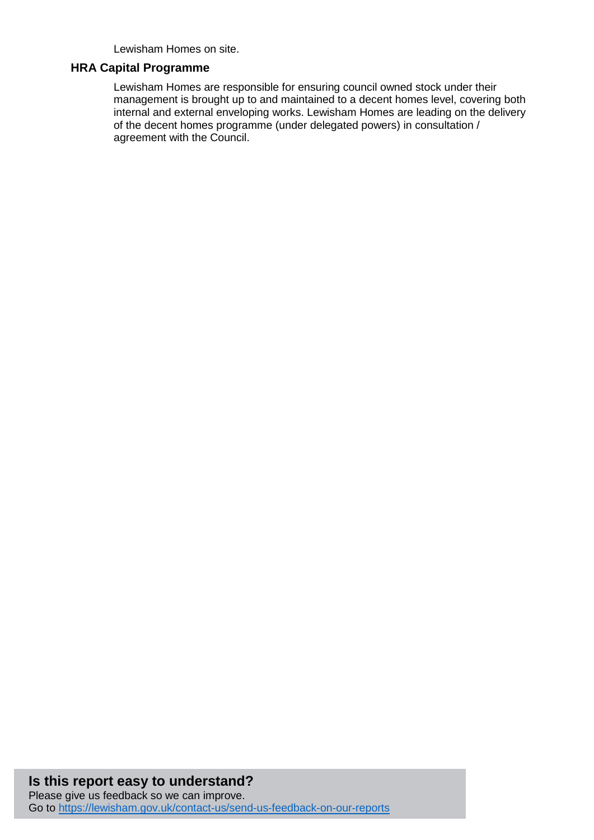Lewisham Homes on site.

#### **HRA Capital Programme**

Lewisham Homes are responsible for ensuring council owned stock under their management is brought up to and maintained to a decent homes level, covering both internal and external enveloping works. Lewisham Homes are leading on the delivery of the decent homes programme (under delegated powers) in consultation / agreement with the Council.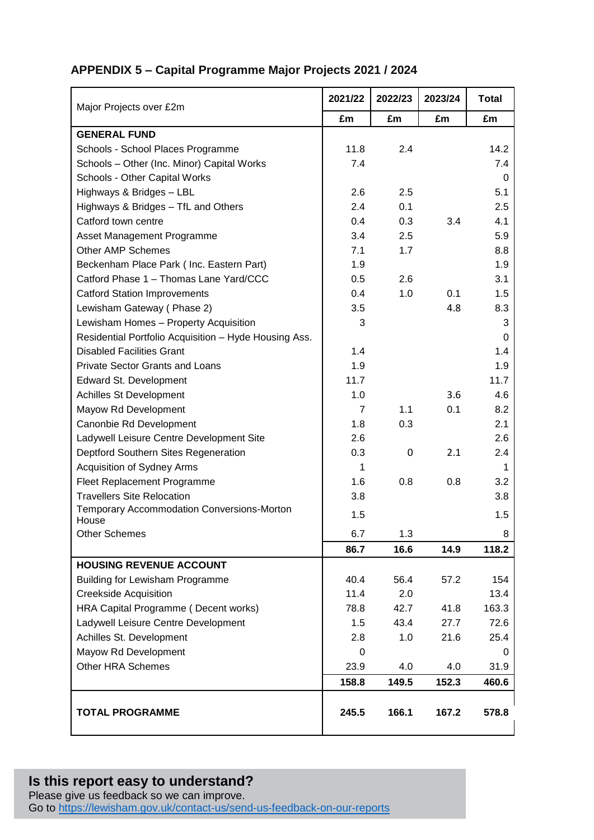# **APPENDIX 5 – Capital Programme Major Projects 2021 / 2024**

| Major Projects over £2m                               | 2021/22 | 2022/23 | 2023/24 | <b>Total</b> |
|-------------------------------------------------------|---------|---------|---------|--------------|
|                                                       | £m      | £m      | £m      | £m           |
| <b>GENERAL FUND</b>                                   |         |         |         |              |
| Schools - School Places Programme                     | 11.8    | 2.4     |         | 14.2         |
| Schools - Other (Inc. Minor) Capital Works            | 7.4     |         |         | 7.4          |
| Schools - Other Capital Works                         |         |         |         | 0            |
| Highways & Bridges - LBL                              | 2.6     | 2.5     |         | 5.1          |
| Highways & Bridges - TfL and Others                   | 2.4     | 0.1     |         | 2.5          |
| Catford town centre                                   | 0.4     | 0.3     | 3.4     | 4.1          |
| Asset Management Programme                            | 3.4     | 2.5     |         | 5.9          |
| <b>Other AMP Schemes</b>                              | 7.1     | 1.7     |         | 8.8          |
| Beckenham Place Park (Inc. Eastern Part)              | 1.9     |         |         | 1.9          |
| Catford Phase 1 - Thomas Lane Yard/CCC                | 0.5     | 2.6     |         | 3.1          |
| <b>Catford Station Improvements</b>                   | 0.4     | 1.0     | 0.1     | 1.5          |
| Lewisham Gateway (Phase 2)                            | 3.5     |         | 4.8     | 8.3          |
| Lewisham Homes - Property Acquisition                 | 3       |         |         | 3            |
| Residential Portfolio Acquisition - Hyde Housing Ass. |         |         |         | 0            |
| <b>Disabled Facilities Grant</b>                      | 1.4     |         |         | 1.4          |
| <b>Private Sector Grants and Loans</b>                | 1.9     |         |         | 1.9          |
| Edward St. Development                                | 11.7    |         |         | 11.7         |
| Achilles St Development                               | 1.0     |         | 3.6     | 4.6          |
| Mayow Rd Development                                  | 7       | 1.1     | 0.1     | 8.2          |
| Canonbie Rd Development                               | 1.8     | 0.3     |         | 2.1          |
| Ladywell Leisure Centre Development Site              | 2.6     |         |         | 2.6          |
| Deptford Southern Sites Regeneration                  | 0.3     | 0       | 2.1     | 2.4          |
| Acquisition of Sydney Arms                            | 1       |         |         | 1            |
| Fleet Replacement Programme                           | 1.6     | 0.8     | 0.8     | 3.2          |
| <b>Travellers Site Relocation</b>                     | 3.8     |         |         | 3.8          |
| Temporary Accommodation Conversions-Morton<br>House   | 1.5     |         |         | 1.5          |
| <b>Other Schemes</b>                                  | 6.7     | 1.3     |         | 8            |
|                                                       | 86.7    | 16.6    | 14.9    | 118.2        |
| <b>HOUSING REVENUE ACCOUNT</b>                        |         |         |         |              |
| <b>Building for Lewisham Programme</b>                | 40.4    | 56.4    | 57.2    | 154          |
| <b>Creekside Acquisition</b>                          | 11.4    | 2.0     |         | 13.4         |
| HRA Capital Programme (Decent works)                  | 78.8    | 42.7    | 41.8    | 163.3        |
| Ladywell Leisure Centre Development                   | 1.5     | 43.4    | 27.7    | 72.6         |
| Achilles St. Development                              | 2.8     | 1.0     | 21.6    | 25.4         |
| Mayow Rd Development                                  | 0       |         |         | 0            |
| <b>Other HRA Schemes</b>                              | 23.9    | 4.0     | 4.0     | 31.9         |
|                                                       | 158.8   | 149.5   | 152.3   | 460.6        |
|                                                       |         |         |         |              |
| <b>TOTAL PROGRAMME</b>                                | 245.5   | 166.1   | 167.2   | 578.8        |

# **Is this report easy to understand?**